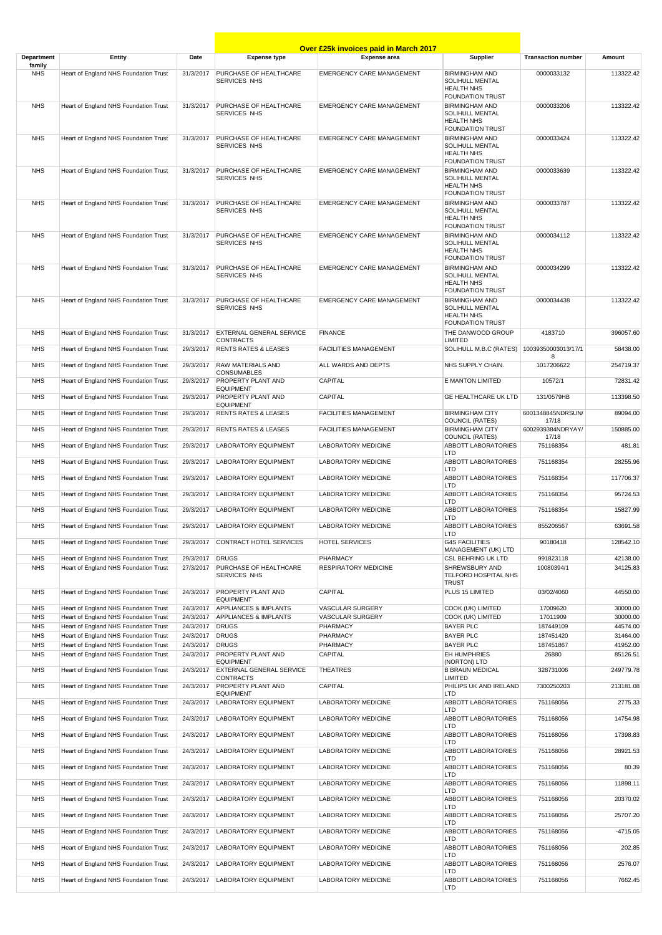|                          |                                                                                |                        |                                                     | <b>Over £25k invoices paid in March 2017</b> |                                                                                                                     |                            |                      |
|--------------------------|--------------------------------------------------------------------------------|------------------------|-----------------------------------------------------|----------------------------------------------|---------------------------------------------------------------------------------------------------------------------|----------------------------|----------------------|
| Department               | <b>Entity</b>                                                                  | Date                   | <b>Expense type</b>                                 | <b>Expense area</b>                          | Supplier                                                                                                            | <b>Transaction number</b>  | Amount               |
| family<br><b>NHS</b>     | Heart of England NHS Foundation Trust                                          | 31/3/2017              | PURCHASE OF HEALTHCARE<br>SERVICES NHS              | <b>EMERGENCY CARE MANAGEMENT</b>             | <b>BIRMINGHAM AND</b><br><b>SOLIHULL MENTAL</b><br><b>HEALTH NHS</b>                                                | 0000033132                 | 113322.42            |
| <b>NHS</b>               | Heart of England NHS Foundation Trust                                          | 31/3/2017              | PURCHASE OF HEALTHCARE<br>SERVICES NHS              | <b>EMERGENCY CARE MANAGEMENT</b>             | <b>FOUNDATION TRUST</b><br><b>BIRMINGHAM AND</b><br>SOLIHULL MENTAL<br><b>HEALTH NHS</b><br><b>FOUNDATION TRUST</b> | 0000033206                 | 113322.42            |
| <b>NHS</b>               | Heart of England NHS Foundation Trust                                          | 31/3/2017              | PURCHASE OF HEALTHCARE<br>SERVICES NHS              | <b>EMERGENCY CARE MANAGEMENT</b>             | <b>BIRMINGHAM AND</b><br><b>SOLIHULL MENTAL</b><br><b>HEALTH NHS</b><br><b>FOUNDATION TRUST</b>                     | 0000033424                 | 113322.42            |
| <b>NHS</b>               | Heart of England NHS Foundation Trust                                          | 31/3/2017              | PURCHASE OF HEALTHCARE<br>SERVICES NHS              | <b>EMERGENCY CARE MANAGEMENT</b>             | <b>BIRMINGHAM AND</b><br><b>SOLIHULL MENTAL</b><br><b>HEALTH NHS</b><br><b>FOUNDATION TRUST</b>                     | 0000033639                 | 113322.42            |
| <b>NHS</b>               | Heart of England NHS Foundation Trust                                          | 31/3/2017              | PURCHASE OF HEALTHCARE<br>SERVICES NHS              | <b>EMERGENCY CARE MANAGEMENT</b>             | <b>BIRMINGHAM AND</b><br>SOLIHULL MENTAL<br><b>HEALTH NHS</b><br><b>FOUNDATION TRUST</b>                            | 0000033787                 | 113322.42            |
| <b>NHS</b>               | Heart of England NHS Foundation Trust                                          | 31/3/2017              | PURCHASE OF HEALTHCARE<br>SERVICES NHS              | <b>EMERGENCY CARE MANAGEMENT</b>             | <b>BIRMINGHAM AND</b><br><b>SOLIHULL MENTAL</b><br><b>HEALTH NHS</b><br><b>FOUNDATION TRUST</b>                     | 0000034112                 | 113322.42            |
| <b>NHS</b>               | Heart of England NHS Foundation Trust                                          | 31/3/2017              | PURCHASE OF HEALTHCARE<br>SERVICES NHS              | <b>EMERGENCY CARE MANAGEMENT</b>             | <b>BIRMINGHAM AND</b><br><b>SOLIHULL MENTAL</b><br><b>HEALTH NHS</b><br><b>FOUNDATION TRUST</b>                     | 0000034299                 | 113322.42            |
| <b>NHS</b>               | Heart of England NHS Foundation Trust                                          | 31/3/2017              | PURCHASE OF HEALTHCARE<br>SERVICES NHS              | <b>EMERGENCY CARE MANAGEMENT</b>             | <b>BIRMINGHAM AND</b><br><b>SOLIHULL MENTAL</b><br><b>HEALTH NHS</b><br><b>FOUNDATION TRUST</b>                     | 0000034438                 | 113322.42            |
| <b>NHS</b>               | Heart of England NHS Foundation Trust                                          | 31/3/2017              | <b>EXTERNAL GENERAL SERVICE</b><br><b>CONTRACTS</b> | <b>FINANCE</b>                               | THE DANWOOD GROUP<br>LIMITED                                                                                        | 4183710                    | 396057.60            |
| <b>NHS</b>               | Heart of England NHS Foundation Trust                                          | 29/3/2017              | <b>RENTS RATES &amp; LEASES</b>                     | <b>FACILITIES MANAGEMENT</b>                 | SOLIHULL M.B.C (RATES)                                                                                              | 10039350003013/17/1<br>8   | 58438.00             |
| <b>NHS</b>               | Heart of England NHS Foundation Trust                                          | 29/3/2017              | RAW MATERIALS AND                                   | ALL WARDS AND DEPTS                          | NHS SUPPLY CHAIN.                                                                                                   | 1017206622                 | 254719.37            |
| <b>NHS</b>               | Heart of England NHS Foundation Trust                                          | 29/3/2017              | CONSUMABLES<br>PROPERTY PLANT AND                   | CAPITAL                                      | E MANTON LIMITED                                                                                                    | 10572/1                    | 72831.42             |
| <b>NHS</b>               | Heart of England NHS Foundation Trust                                          | 29/3/2017              | <b>EQUIPMENT</b><br>PROPERTY PLANT AND              | <b>CAPITAL</b>                               | <b>GE HEALTHCARE UK LTD</b>                                                                                         | 131/0579HB                 | 113398.50            |
| <b>NHS</b>               | Heart of England NHS Foundation Trust                                          | 29/3/2017              | <b>EQUIPMENT</b><br><b>RENTS RATES &amp; LEASES</b> | <b>FACILITIES MANAGEMENT</b>                 | <b>BIRMINGHAM CITY</b>                                                                                              | 6001348845NDRSUN/          | 89094.00             |
| <b>NHS</b>               | Heart of England NHS Foundation Trust                                          | 29/3/2017              | <b>RENTS RATES &amp; LEASES</b>                     | <b>FACILITIES MANAGEMENT</b>                 | <b>COUNCIL (RATES)</b><br><b>BIRMINGHAM CITY</b>                                                                    | 17/18<br>6002939384NDRYAY/ | 150885.00            |
|                          |                                                                                |                        |                                                     |                                              | <b>COUNCIL (RATES)</b>                                                                                              | 17/18                      |                      |
| <b>NHS</b>               | Heart of England NHS Foundation Trust                                          | 29/3/2017              | <b>LABORATORY EQUIPMENT</b>                         | <b>LABORATORY MEDICINE</b>                   | ABBOTT LABORATORIES<br>LTD                                                                                          | 751168354                  | 481.81               |
| <b>NHS</b>               | Heart of England NHS Foundation Trust                                          | 29/3/2017              | <b>LABORATORY EQUIPMENT</b>                         | LABORATORY MEDICINE                          | ABBOTT LABORATORIES<br>LTD                                                                                          | 751168354                  | 28255.96             |
| <b>NHS</b>               | Heart of England NHS Foundation Trust                                          | 29/3/2017              | <b>LABORATORY EQUIPMENT</b>                         | <b>LABORATORY MEDICINE</b>                   | ABBOTT LABORATORIES<br>LTD                                                                                          | 751168354                  | 117706.37            |
| <b>NHS</b>               | Heart of England NHS Foundation Trust                                          | 29/3/2017              | <b>LABORATORY EQUIPMENT</b>                         | <b>LABORATORY MEDICINE</b>                   | <b>ABBOTT LABORATORIES</b><br>LTD                                                                                   | 751168354                  | 95724.53             |
| <b>NHS</b>               | Heart of England NHS Foundation Trust                                          | 29/3/2017              | <b>LABORATORY EQUIPMENT</b>                         | <b>LABORATORY MEDICINE</b>                   | <b>ABBOTT LABORATORIES</b><br><b>LTD</b>                                                                            | 751168354                  | 15827.99             |
| <b>NHS</b>               | Heart of England NHS Foundation Trust                                          | 29/3/2017              | <b>LABORATORY EQUIPMENT</b>                         | LABORATORY MEDICINE                          | ABBOTT LABORATORIES<br>LTD                                                                                          | 855206567                  | 63691.58             |
| <b>NHS</b>               | Heart of England NHS Foundation Trust                                          | 29/3/2017              | CONTRACT HOTEL SERVICES                             | <b>HOTEL SERVICES</b>                        | <b>G4S FACILITIES</b><br>MANAGEMENT (UK) LTD                                                                        | 90180418                   | 128542.10            |
| <b>NHS</b><br><b>NHS</b> | Heart of England NHS Foundation Trust<br>Heart of England NHS Foundation Trust | 29/3/2017<br>27/3/2017 | <b>DRUGS</b><br>PURCHASE OF HEALTHCARE              | PHARMACY<br><b>RESPIRATORY MEDICINE</b>      | CSL BEHRING UK LTD<br>SHREWSBURY AND                                                                                | 991823118<br>10080394/1    | 42138.00<br>34125.83 |
|                          |                                                                                |                        | SERVICES NHS                                        |                                              | TELFORD HOSPITAL NHS<br><b>TRUST</b>                                                                                |                            |                      |
| <b>NHS</b>               | Heart of England NHS Foundation Trust                                          | 24/3/2017              | PROPERTY PLANT AND<br><b>EQUIPMENT</b>              | CAPITAL                                      | PLUS 15 LIMITED                                                                                                     | 03/02/4060                 | 44550.00             |
| <b>NHS</b>               | Heart of England NHS Foundation Trust                                          | 24/3/2017              | APPLIANCES & IMPLANTS                               | VASCULAR SURGERY                             | COOK (UK) LIMITED                                                                                                   | 17009620                   | 30000.00             |
| <b>NHS</b>               | Heart of England NHS Foundation Trust                                          | 24/3/2017              | APPLIANCES & IMPLANTS                               | <b>VASCULAR SURGERY</b>                      | COOK (UK) LIMITED                                                                                                   | 17011909                   | 30000.00             |
| <b>NHS</b><br><b>NHS</b> | Heart of England NHS Foundation Trust<br>Heart of England NHS Foundation Trust | 24/3/2017<br>24/3/2017 | <b>DRUGS</b><br><b>DRUGS</b>                        | PHARMACY<br>PHARMACY                         | <b>BAYER PLC</b><br><b>BAYER PLC</b>                                                                                | 187449109<br>187451420     | 44574.00<br>31464.00 |
| <b>NHS</b>               | Heart of England NHS Foundation Trust                                          | 24/3/2017              | <b>DRUGS</b>                                        | PHARMACY                                     | <b>BAYER PLC</b>                                                                                                    | 187451867                  | 41952.00             |
| <b>NHS</b>               | Heart of England NHS Foundation Trust                                          | 24/3/2017              | PROPERTY PLANT AND                                  | CAPITAL                                      | <b>EH HUMPHRIES</b>                                                                                                 | 26880                      | 85126.51             |
| <b>NHS</b>               | Heart of England NHS Foundation Trust                                          | 24/3/2017              | <b>EQUIPMENT</b><br>EXTERNAL GENERAL SERVICE        | <b>THEATRES</b>                              | (NORTON) LTD<br><b>B BRAUN MEDICAL</b>                                                                              | 328731006                  | 249779.78            |
| <b>NHS</b>               | Heart of England NHS Foundation Trust                                          | 24/3/2017              | <b>CONTRACTS</b><br>PROPERTY PLANT AND              | CAPITAL                                      | LIMITED<br>PHILIPS UK AND IRELAND                                                                                   | 7300250203                 | 213181.08            |
| <b>NHS</b>               | Heart of England NHS Foundation Trust                                          | 24/3/2017              | <b>EQUIPMENT</b><br><b>LABORATORY EQUIPMENT</b>     | <b>LABORATORY MEDICINE</b>                   | LTD<br>ABBOTT LABORATORIES                                                                                          | 751168056                  | 2775.33              |
| <b>NHS</b>               | Heart of England NHS Foundation Trust                                          | 24/3/2017              | <b>LABORATORY EQUIPMENT</b>                         | LABORATORY MEDICINE                          | LTD<br>ABBOTT LABORATORIES                                                                                          | 751168056                  | 14754.98             |
| <b>NHS</b>               | Heart of England NHS Foundation Trust                                          | 24/3/2017              | <b>LABORATORY EQUIPMENT</b>                         | LABORATORY MEDICINE                          | <b>LTD</b><br>ABBOTT LABORATORIES                                                                                   | 751168056                  | 17398.83             |
| <b>NHS</b>               | Heart of England NHS Foundation Trust                                          | 24/3/2017              | <b>LABORATORY EQUIPMENT</b>                         | LABORATORY MEDICINE                          | LTD<br>ABBOTT LABORATORIES                                                                                          | 751168056                  | 28921.53             |
| <b>NHS</b>               | Heart of England NHS Foundation Trust                                          | 24/3/2017              | <b>LABORATORY EQUIPMENT</b>                         | LABORATORY MEDICINE                          | <b>LTD</b><br>ABBOTT LABORATORIES                                                                                   | 751168056                  | 80.39                |
| <b>NHS</b>               | Heart of England NHS Foundation Trust                                          | 24/3/2017              | <b>LABORATORY EQUIPMENT</b>                         | LABORATORY MEDICINE                          | LTD<br>ABBOTT LABORATORIES                                                                                          | 751168056                  | 11898.11             |
| <b>NHS</b>               | Heart of England NHS Foundation Trust                                          | 24/3/2017              | <b>LABORATORY EQUIPMENT</b>                         | LABORATORY MEDICINE                          | <b>LTD</b><br>ABBOTT LABORATORIES                                                                                   | 751168056                  | 20370.02             |
| <b>NHS</b>               | Heart of England NHS Foundation Trust                                          | 24/3/2017              | <b>LABORATORY EQUIPMENT</b>                         | LABORATORY MEDICINE                          | LTD<br>ABBOTT LABORATORIES                                                                                          | 751168056                  | 25707.20             |
| <b>NHS</b>               | Heart of England NHS Foundation Trust                                          | 24/3/2017              | <b>LABORATORY EQUIPMENT</b>                         | LABORATORY MEDICINE                          | LTD<br>ABBOTT LABORATORIES                                                                                          | 751168056                  | $-4715.05$           |
| <b>NHS</b>               | Heart of England NHS Foundation Trust                                          | 24/3/2017              | <b>LABORATORY EQUIPMENT</b>                         | LABORATORY MEDICINE                          | LTD<br>ABBOTT LABORATORIES                                                                                          | 751168056                  | 202.85               |
| <b>NHS</b>               | Heart of England NHS Foundation Trust                                          | 24/3/2017              | LABORATORY EQUIPMENT                                | <b>LABORATORY MEDICINE</b>                   | LTD<br>ABBOTT LABORATORIES                                                                                          | 751168056                  | 2576.07              |
| <b>NHS</b>               | Heart of England NHS Foundation Trust                                          | 24/3/2017              | <b>LABORATORY EQUIPMENT</b>                         | LABORATORY MEDICINE                          | <b>LTD</b><br>ABBOTT LABORATORIES<br>LTD                                                                            | 751168056                  | 7662.45              |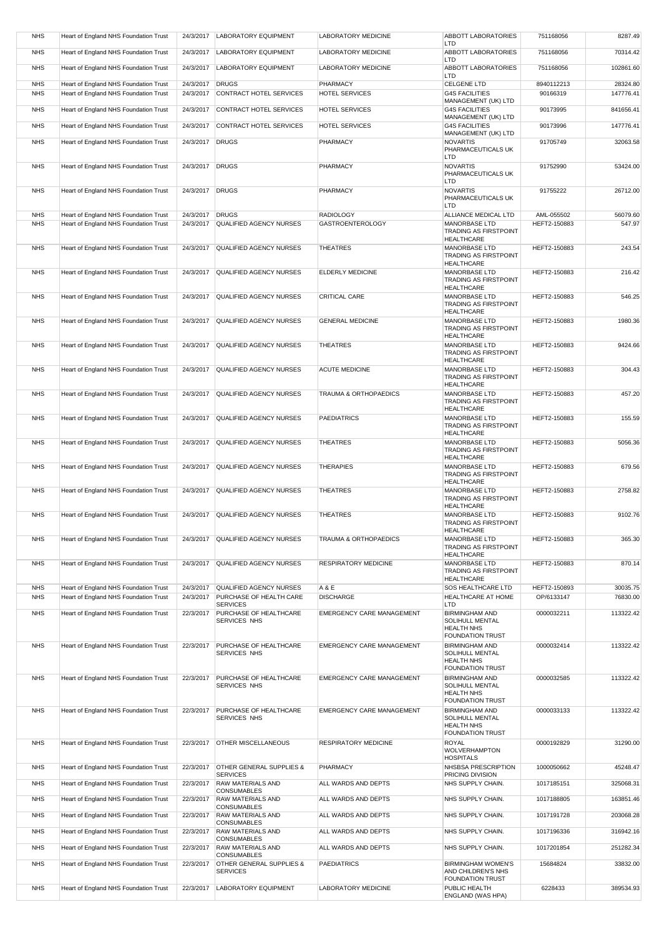| <b>NHS</b> | Heart of England NHS Foundation Trust | 24/3/2017 | <b>LABORATORY EQUIPMENT</b>                               | <b>LABORATORY MEDICINE</b>       | ABBOTT LABORATORIES<br>LTD                           | 751168056    | 8287.49   |
|------------|---------------------------------------|-----------|-----------------------------------------------------------|----------------------------------|------------------------------------------------------|--------------|-----------|
| <b>NHS</b> | Heart of England NHS Foundation Trust | 24/3/2017 | <b>LABORATORY EQUIPMENT</b>                               | <b>LABORATORY MEDICINE</b>       | <b>ABBOTT LABORATORIES</b><br>LTD                    | 751168056    | 70314.42  |
| <b>NHS</b> | Heart of England NHS Foundation Trust | 24/3/2017 | <b>LABORATORY EQUIPMENT</b>                               | LABORATORY MEDICINE              | ABBOTT LABORATORIES<br>LTD                           | 751168056    | 102861.60 |
| <b>NHS</b> | Heart of England NHS Foundation Trust | 24/3/2017 | <b>DRUGS</b>                                              | PHARMACY                         | <b>CELGENE LTD</b>                                   | 8940112213   | 28324.80  |
| <b>NHS</b> | Heart of England NHS Foundation Trust | 24/3/2017 | CONTRACT HOTEL SERVICES                                   | <b>HOTEL SERVICES</b>            | <b>G4S FACILITIES</b><br>MANAGEMENT (UK) LTD         | 90166319     | 147776.41 |
| <b>NHS</b> | Heart of England NHS Foundation Trust | 24/3/2017 | CONTRACT HOTEL SERVICES                                   | <b>HOTEL SERVICES</b>            | <b>G4S FACILITIES</b><br>MANAGEMENT (UK) LTD         | 90173995     | 841656.41 |
| <b>NHS</b> | Heart of England NHS Foundation Trust | 24/3/2017 | CONTRACT HOTEL SERVICES                                   | <b>HOTEL SERVICES</b>            | <b>G4S FACILITIES</b>                                | 90173996     | 147776.41 |
| <b>NHS</b> | Heart of England NHS Foundation Trust | 24/3/2017 | <b>DRUGS</b>                                              | PHARMACY                         | MANAGEMENT (UK) LTD<br><b>NOVARTIS</b>               | 91705749     | 32063.58  |
|            |                                       |           |                                                           |                                  | PHARMACEUTICALS UK<br>LTD                            |              |           |
| <b>NHS</b> | Heart of England NHS Foundation Trust | 24/3/2017 | <b>DRUGS</b>                                              | PHARMACY                         | <b>NOVARTIS</b><br>PHARMACEUTICALS UK                | 91752990     | 53424.00  |
|            |                                       |           |                                                           |                                  | LTD                                                  |              |           |
| <b>NHS</b> | Heart of England NHS Foundation Trust | 24/3/2017 | <b>DRUGS</b>                                              | PHARMACY                         | <b>NOVARTIS</b><br>PHARMACEUTICALS UK                | 91755222     | 26712.00  |
| <b>NHS</b> | Heart of England NHS Foundation Trust | 24/3/2017 | <b>DRUGS</b>                                              | <b>RADIOLOGY</b>                 | LTD<br>ALLIANCE MEDICAL LTD                          | AML-055502   | 56079.60  |
| <b>NHS</b> | Heart of England NHS Foundation Trust | 24/3/2017 | <b>QUALIFIED AGENCY NURSES</b>                            | <b>GASTROENTEROLOGY</b>          | <b>MANORBASE LTD</b><br><b>TRADING AS FIRSTPOINT</b> | HEFT2-150883 | 547.97    |
|            |                                       |           |                                                           |                                  | <b>HEALTHCARE</b>                                    |              |           |
| <b>NHS</b> | Heart of England NHS Foundation Trust | 24/3/2017 | QUALIFIED AGENCY NURSES                                   | <b>THEATRES</b>                  | <b>MANORBASE LTD</b><br><b>TRADING AS FIRSTPOINT</b> | HEFT2-150883 | 243.54    |
| <b>NHS</b> | Heart of England NHS Foundation Trust | 24/3/2017 | <b>QUALIFIED AGENCY NURSES</b>                            | <b>ELDERLY MEDICINE</b>          | <b>HEALTHCARE</b><br><b>MANORBASE LTD</b>            | HEFT2-150883 | 216.42    |
|            |                                       |           |                                                           |                                  | <b>TRADING AS FIRSTPOINT</b><br><b>HEALTHCARE</b>    |              |           |
| <b>NHS</b> | Heart of England NHS Foundation Trust | 24/3/2017 | QUALIFIED AGENCY NURSES                                   | CRITICAL CARE                    | <b>MANORBASE LTD</b>                                 | HEFT2-150883 | 546.25    |
|            |                                       |           |                                                           |                                  | <b>TRADING AS FIRSTPOINT</b><br><b>HEALTHCARE</b>    |              |           |
| <b>NHS</b> | Heart of England NHS Foundation Trust | 24/3/2017 | QUALIFIED AGENCY NURSES                                   | <b>GENERAL MEDICINE</b>          | <b>MANORBASE LTD</b><br><b>TRADING AS FIRSTPOINT</b> | HEFT2-150883 | 1980.36   |
| <b>NHS</b> | Heart of England NHS Foundation Trust | 24/3/2017 | QUALIFIED AGENCY NURSES                                   | <b>THEATRES</b>                  | <b>HEALTHCARE</b><br><b>MANORBASE LTD</b>            | HEFT2-150883 | 9424.66   |
|            |                                       |           |                                                           |                                  | <b>TRADING AS FIRSTPOINT</b><br><b>HEALTHCARE</b>    |              |           |
| <b>NHS</b> | Heart of England NHS Foundation Trust | 24/3/2017 | QUALIFIED AGENCY NURSES                                   | <b>ACUTE MEDICINE</b>            | <b>MANORBASE LTD</b>                                 | HEFT2-150883 | 304.43    |
|            |                                       |           |                                                           |                                  | <b>TRADING AS FIRSTPOINT</b><br><b>HEALTHCARE</b>    |              |           |
| <b>NHS</b> | Heart of England NHS Foundation Trust | 24/3/2017 | QUALIFIED AGENCY NURSES                                   | TRAUMA & ORTHOPAEDICS            | <b>MANORBASE LTD</b><br><b>TRADING AS FIRSTPOINT</b> | HEFT2-150883 | 457.20    |
| <b>NHS</b> | Heart of England NHS Foundation Trust | 24/3/2017 | QUALIFIED AGENCY NURSES                                   | <b>PAEDIATRICS</b>               | <b>HEALTHCARE</b><br><b>MANORBASE LTD</b>            | HEFT2-150883 | 155.59    |
|            |                                       |           |                                                           |                                  | <b>TRADING AS FIRSTPOINT</b>                         |              |           |
| <b>NHS</b> | Heart of England NHS Foundation Trust | 24/3/2017 | QUALIFIED AGENCY NURSES                                   | <b>THEATRES</b>                  | <b>HEALTHCARE</b><br>MANORBASE LTD                   | HEFT2-150883 | 5056.36   |
|            |                                       |           |                                                           |                                  | <b>TRADING AS FIRSTPOINT</b><br><b>HEALTHCARE</b>    |              |           |
| <b>NHS</b> | Heart of England NHS Foundation Trust | 24/3/2017 | QUALIFIED AGENCY NURSES                                   | <b>THERAPIES</b>                 | <b>MANORBASE LTD</b><br><b>TRADING AS FIRSTPOINT</b> | HEFT2-150883 | 679.56    |
|            |                                       |           |                                                           |                                  | <b>HEALTHCARE</b>                                    | HEFT2-150883 |           |
| <b>NHS</b> | Heart of England NHS Foundation Trust | 24/3/2017 | QUALIFIED AGENCY NURSES                                   | <b>THEATRES</b>                  | <b>MANORBASE LTD</b><br><b>TRADING AS FIRSTPOINT</b> |              | 2758.82   |
| <b>NHS</b> | Heart of England NHS Foundation Trust | 24/3/2017 | <b>QUALIFIED AGENCY NURSES</b>                            | <b>THEATRES</b>                  | <b>HEALTHCARE</b><br><b>MANORBASE LTD</b>            | HEFT2-150883 | 9102.76   |
|            |                                       |           |                                                           |                                  | <b>TRADING AS FIRSTPOINT</b><br>HEALTHCARE           |              |           |
| <b>NHS</b> | Heart of England NHS Foundation Trust | 24/3/2017 | QUALIFIED AGENCY NURSES                                   | TRAUMA & ORTHOPAEDICS            | <b>MANORBASE LTD</b><br><b>TRADING AS FIRSTPOINT</b> | HEFT2-150883 | 365.30    |
|            |                                       |           |                                                           |                                  | <b>HEALTHCARE</b>                                    |              |           |
| <b>NHS</b> | Heart of England NHS Foundation Trust | 24/3/2017 | QUALIFIED AGENCY NURSES                                   | <b>RESPIRATORY MEDICINE</b>      | MANORBASE LTD<br><b>TRADING AS FIRSTPOINT</b>        | HEFT2-150883 | 870.14    |
| <b>NHS</b> | Heart of England NHS Foundation Trust | 24/3/2017 | QUALIFIED AGENCY NURSES                                   | A & E                            | <b>HEALTHCARE</b><br>SOS HEALTHCARE LTD              | HEFT2-150893 | 30035.75  |
| <b>NHS</b> | Heart of England NHS Foundation Trust | 24/3/2017 | PURCHASE OF HEALTH CARE<br><b>SERVICES</b>                | <b>DISCHARGE</b>                 | <b>HEALTHCARE AT HOME</b><br>LTD                     | OP/6133147   | 76830.00  |
| <b>NHS</b> | Heart of England NHS Foundation Trust | 22/3/2017 | PURCHASE OF HEALTHCARE                                    | <b>EMERGENCY CARE MANAGEMENT</b> | <b>BIRMINGHAM AND</b>                                | 0000032211   | 113322.42 |
|            |                                       |           | SERVICES NHS                                              |                                  | SOLIHULL MENTAL<br><b>HEALTH NHS</b>                 |              |           |
| <b>NHS</b> | Heart of England NHS Foundation Trust | 22/3/2017 | PURCHASE OF HEALTHCARE                                    | <b>EMERGENCY CARE MANAGEMENT</b> | <b>FOUNDATION TRUST</b><br><b>BIRMINGHAM AND</b>     | 0000032414   | 113322.42 |
|            |                                       |           | SERVICES NHS                                              |                                  | SOLIHULL MENTAL<br><b>HEALTH NHS</b>                 |              |           |
| <b>NHS</b> |                                       | 22/3/2017 | PURCHASE OF HEALTHCARE                                    |                                  | <b>FOUNDATION TRUST</b>                              |              |           |
|            | Heart of England NHS Foundation Trust |           | SERVICES NHS                                              | EMERGENCY CARE MANAGEMENT        | <b>BIRMINGHAM AND</b><br>SOLIHULL MENTAL             | 0000032585   | 113322.42 |
|            |                                       |           |                                                           |                                  | <b>HEALTH NHS</b><br><b>FOUNDATION TRUST</b>         |              |           |
| <b>NHS</b> | Heart of England NHS Foundation Trust | 22/3/2017 | PURCHASE OF HEALTHCARE<br>SERVICES NHS                    | <b>EMERGENCY CARE MANAGEMENT</b> | <b>BIRMINGHAM AND</b><br><b>SOLIHULL MENTAL</b>      | 0000033133   | 113322.42 |
|            |                                       |           |                                                           |                                  | <b>HEALTH NHS</b><br><b>FOUNDATION TRUST</b>         |              |           |
| <b>NHS</b> | Heart of England NHS Foundation Trust | 22/3/2017 | <b>OTHER MISCELLANEOUS</b>                                | RESPIRATORY MEDICINE             | <b>ROYAL</b>                                         | 0000192829   | 31290.00  |
|            |                                       |           |                                                           |                                  | <b>WOLVERHAMPTON</b><br><b>HOSPITALS</b>             |              |           |
| <b>NHS</b> | Heart of England NHS Foundation Trust | 22/3/2017 | <b>OTHER GENERAL SUPPLIES &amp;</b><br><b>SERVICES</b>    | <b>PHARMACY</b>                  | NHSBSA PRESCRIPTION<br>PRICING DIVISION              | 1000050662   | 45248.47  |
| <b>NHS</b> | Heart of England NHS Foundation Trust | 22/3/2017 | <b>RAW MATERIALS AND</b><br>CONSUMABLES                   | ALL WARDS AND DEPTS              | NHS SUPPLY CHAIN.                                    | 1017185151   | 325068.31 |
| <b>NHS</b> | Heart of England NHS Foundation Trust | 22/3/2017 | <b>RAW MATERIALS AND</b><br>CONSUMABLES                   | ALL WARDS AND DEPTS              | NHS SUPPLY CHAIN.                                    | 1017188805   | 163851.46 |
| <b>NHS</b> | Heart of England NHS Foundation Trust | 22/3/2017 | <b>RAW MATERIALS AND</b>                                  | ALL WARDS AND DEPTS              | NHS SUPPLY CHAIN.                                    | 1017191728   | 203068.28 |
| <b>NHS</b> | Heart of England NHS Foundation Trust | 22/3/2017 | CONSUMABLES<br><b>RAW MATERIALS AND</b>                   | ALL WARDS AND DEPTS              | NHS SUPPLY CHAIN.                                    | 1017196336   | 316942.16 |
| <b>NHS</b> | Heart of England NHS Foundation Trust | 22/3/2017 | CONSUMABLES<br><b>RAW MATERIALS AND</b>                   | ALL WARDS AND DEPTS              | NHS SUPPLY CHAIN.                                    | 1017201854   | 251282.34 |
| <b>NHS</b> | Heart of England NHS Foundation Trust | 22/3/2017 | <b>CONSUMABLES</b><br><b>OTHER GENERAL SUPPLIES &amp;</b> | <b>PAEDIATRICS</b>               | <b>BIRMINGHAM WOMEN'S</b>                            | 15684824     | 33832.00  |
|            |                                       |           | <b>SERVICES</b>                                           |                                  | AND CHILDREN'S NHS<br><b>FOUNDATION TRUST</b>        |              |           |
| <b>NHS</b> | Heart of England NHS Foundation Trust | 22/3/2017 | <b>LABORATORY EQUIPMENT</b>                               | <b>LABORATORY MEDICINE</b>       | PUBLIC HEALTH<br>ENGLAND (WAS HPA)                   | 6228433      | 389534.93 |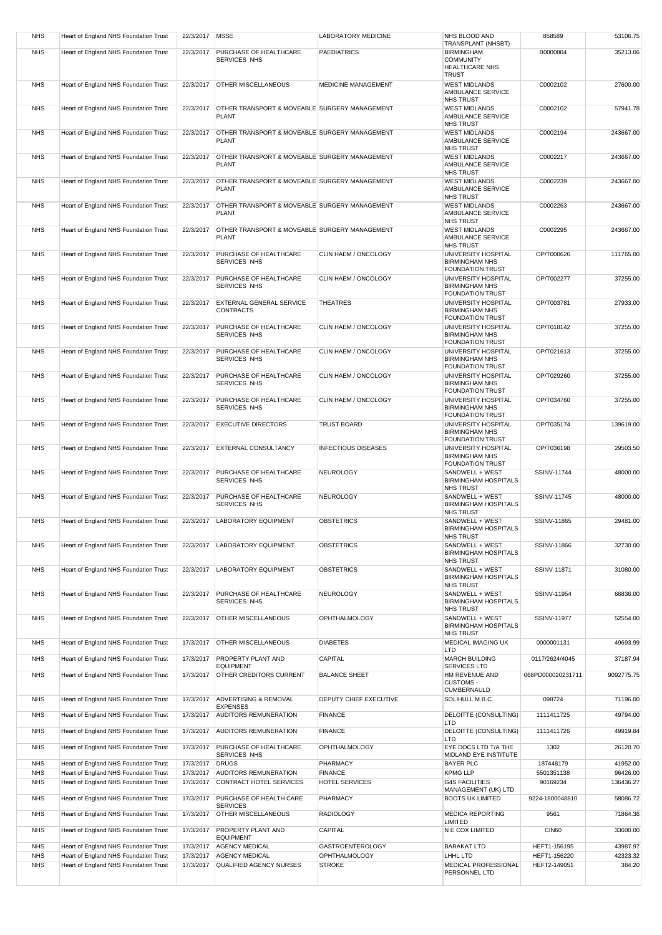| <b>NHS</b>               | Heart of England NHS Foundation Trust                                          | 22/3/2017   MSSE       |                                                               | <b>LABORATORY MEDICINE</b>               | NHS BLOOD AND<br>TRANSPLANT (NHSBT)                                            | 858589                            | 53106.75             |
|--------------------------|--------------------------------------------------------------------------------|------------------------|---------------------------------------------------------------|------------------------------------------|--------------------------------------------------------------------------------|-----------------------------------|----------------------|
| <b>NHS</b>               | Heart of England NHS Foundation Trust                                          | 22/3/2017              | PURCHASE OF HEALTHCARE<br>SERVICES NHS                        | <b>PAEDIATRICS</b>                       | <b>BIRMINGHAM</b><br><b>COMMUNITY</b><br><b>HEALTHCARE NHS</b><br><b>TRUST</b> | B0000804                          | 35213.06             |
| <b>NHS</b>               | Heart of England NHS Foundation Trust                                          |                        | 22/3/2017 OTHER MISCELLANEOUS                                 | <b>MEDICINE MANAGEMENT</b>               | <b>WEST MIDLANDS</b><br>AMBULANCE SERVICE<br><b>NHS TRUST</b>                  | C0002102                          | 27600.00             |
| <b>NHS</b>               | Heart of England NHS Foundation Trust                                          | 22/3/2017              | OTHER TRANSPORT & MOVEABLE SURGERY MANAGEMENT<br><b>PLANT</b> |                                          | <b>WEST MIDLANDS</b><br>AMBULANCE SERVICE<br><b>NHS TRUST</b>                  | C0002102                          | 57941.78             |
| <b>NHS</b>               | Heart of England NHS Foundation Trust                                          | 22/3/2017              | OTHER TRANSPORT & MOVEABLE SURGERY MANAGEMENT<br><b>PLANT</b> |                                          | <b>WEST MIDLANDS</b><br>AMBULANCE SERVICE<br><b>NHS TRUST</b>                  | C0002194                          | 243667.00            |
| <b>NHS</b>               | Heart of England NHS Foundation Trust                                          | 22/3/2017              | OTHER TRANSPORT & MOVEABLE SURGERY MANAGEMENT<br><b>PLANT</b> |                                          | <b>WEST MIDLANDS</b><br>AMBULANCE SERVICE<br><b>NHS TRUST</b>                  | C0002217                          | 243667.00            |
| <b>NHS</b>               | Heart of England NHS Foundation Trust                                          | 22/3/2017              | OTHER TRANSPORT & MOVEABLE SURGERY MANAGEMENT<br><b>PLANT</b> |                                          | <b>WEST MIDLANDS</b><br>AMBULANCE SERVICE<br><b>NHS TRUST</b>                  | C0002239                          | 243667.00            |
| <b>NHS</b>               | Heart of England NHS Foundation Trust                                          | 22/3/2017              | OTHER TRANSPORT & MOVEABLE SURGERY MANAGEMENT<br><b>PLANT</b> |                                          | <b>WEST MIDLANDS</b><br>AMBULANCE SERVICE<br><b>NHS TRUST</b>                  | C0002263                          | 243667.00            |
| <b>NHS</b>               | Heart of England NHS Foundation Trust                                          | 22/3/2017              | OTHER TRANSPORT & MOVEABLE SURGERY MANAGEMENT<br><b>PLANT</b> |                                          | <b>WEST MIDLANDS</b><br>AMBULANCE SERVICE<br><b>NHS TRUST</b>                  | C0002295                          | 243667.00            |
| <b>NHS</b>               | Heart of England NHS Foundation Trust                                          | 22/3/2017              | PURCHASE OF HEALTHCARE<br>SERVICES NHS                        | CLIN HAEM / ONCOLOGY                     | UNIVERSITY HOSPITAL<br><b>BIRMINGHAM NHS</b><br><b>FOUNDATION TRUST</b>        | OP/T000626                        | 111765.00            |
| <b>NHS</b>               | Heart of England NHS Foundation Trust                                          | 22/3/2017              | PURCHASE OF HEALTHCARE<br>SERVICES NHS                        | CLIN HAEM / ONCOLOGY                     | UNIVERSITY HOSPITAL<br><b>BIRMINGHAM NHS</b><br><b>FOUNDATION TRUST</b>        | OP/T002277                        | 37255.00             |
| <b>NHS</b>               | Heart of England NHS Foundation Trust                                          | 22/3/2017              | <b>EXTERNAL GENERAL SERVICE</b><br><b>CONTRACTS</b>           | <b>THEATRES</b>                          | UNIVERSITY HOSPITAL<br><b>BIRMINGHAM NHS</b><br><b>FOUNDATION TRUST</b>        | OP/T003781                        | 27933.00             |
| <b>NHS</b>               | Heart of England NHS Foundation Trust                                          | 22/3/2017              | PURCHASE OF HEALTHCARE<br>SERVICES NHS                        | CLIN HAEM / ONCOLOGY                     | UNIVERSITY HOSPITAL<br><b>BIRMINGHAM NHS</b><br><b>FOUNDATION TRUST</b>        | OP/T018142                        | 37255.00             |
| <b>NHS</b>               | Heart of England NHS Foundation Trust                                          | 22/3/2017              | PURCHASE OF HEALTHCARE<br>SERVICES NHS                        | CLIN HAEM / ONCOLOGY                     | UNIVERSITY HOSPITAL<br><b>BIRMINGHAM NHS</b><br><b>FOUNDATION TRUST</b>        | OP/T021613                        | 37255.00             |
| <b>NHS</b>               | Heart of England NHS Foundation Trust                                          | 22/3/2017              | PURCHASE OF HEALTHCARE<br>SERVICES NHS                        | CLIN HAEM / ONCOLOGY                     | UNIVERSITY HOSPITAL<br><b>BIRMINGHAM NHS</b><br><b>FOUNDATION TRUST</b>        | OP/T029260                        | 37255.00             |
| <b>NHS</b>               | Heart of England NHS Foundation Trust                                          | 22/3/2017              | PURCHASE OF HEALTHCARE<br>SERVICES NHS                        | CLIN HAEM / ONCOLOGY                     | UNIVERSITY HOSPITAL<br><b>BIRMINGHAM NHS</b><br><b>FOUNDATION TRUST</b>        | OP/T034760                        | 37255.00             |
| <b>NHS</b>               | Heart of England NHS Foundation Trust                                          | 22/3/2017              | <b>EXECUTIVE DIRECTORS</b>                                    | <b>TRUST BOARD</b>                       | UNIVERSITY HOSPITAL<br><b>BIRMINGHAM NHS</b><br><b>FOUNDATION TRUST</b>        | OP/T035174                        | 139619.00            |
| <b>NHS</b>               | Heart of England NHS Foundation Trust                                          | 22/3/2017              | <b>EXTERNAL CONSULTANCY</b>                                   | <b>INFECTIOUS DISEASES</b>               | UNIVERSITY HOSPITAL<br><b>BIRMINGHAM NHS</b><br><b>FOUNDATION TRUST</b>        | OP/T036198                        | 29503.50             |
| <b>NHS</b>               | Heart of England NHS Foundation Trust                                          | 22/3/2017              | PURCHASE OF HEALTHCARE<br>SERVICES NHS                        | <b>NEUROLOGY</b>                         | SANDWELL + WEST<br><b>BIRMINGHAM HOSPITALS</b><br><b>NHS TRUST</b>             | SSINV-11744                       | 48000.00             |
| <b>NHS</b>               | Heart of England NHS Foundation Trust                                          | 22/3/2017              | PURCHASE OF HEALTHCARE<br>SERVICES NHS                        | NEUROLOGY                                | SANDWELL + WEST<br><b>BIRMINGHAM HOSPITALS</b><br><b>NHS TRUST</b>             | SSINV-11745                       | 48000.00             |
| <b>NHS</b>               | Heart of England NHS Foundation Trust                                          | 22/3/2017              | <b>LABORATORY EQUIPMENT</b>                                   | <b>OBSTETRICS</b>                        | SANDWELL + WEST<br><b>BIRMINGHAM HOSPITALS</b><br><b>NHS TRUST</b>             | SSINV-11865                       | 29481.00             |
| <b>NHS</b><br><b>NHS</b> | Heart of England NHS Foundation Trust<br>Heart of England NHS Foundation Trust | 22/3/2017<br>22/3/2017 | <b>LABORATORY EQUIPMENT</b><br><b>LABORATORY EQUIPMENT</b>    | <b>OBSTETRICS</b><br><b>OBSTETRICS</b>   | SANDWELL + WEST<br><b>BIRMINGHAM HOSPITALS</b><br>NHS TRUST<br>SANDWELL + WEST | SSINV-11866<br><b>SSINV-11871</b> | 32730.00             |
|                          | Heart of England NHS Foundation Trust                                          | 22/3/2017              | PURCHASE OF HEALTHCARE                                        |                                          | <b>BIRMINGHAM HOSPITALS</b><br>NHS TRUST<br>SANDWELL + WEST                    | SSINV-11954                       | 31080.00             |
| <b>NHS</b>               |                                                                                |                        | SERVICES NHS                                                  | <b>NEUROLOGY</b><br><b>OPHTHALMOLOGY</b> | <b>BIRMINGHAM HOSPITALS</b><br><b>NHS TRUST</b><br>SANDWELL + WEST             |                                   | 66836.00             |
| <b>NHS</b><br><b>NHS</b> | Heart of England NHS Foundation Trust<br>Heart of England NHS Foundation Trust | 22/3/2017<br>17/3/2017 | <b>OTHER MISCELLANEOUS</b><br><b>OTHER MISCELLANEOUS</b>      | <b>DIABETES</b>                          | <b>BIRMINGHAM HOSPITALS</b><br>NHS TRUST<br><b>MEDICAL IMAGING UK</b>          | SSINV-11977<br>0000001131         | 52554.00<br>49693.99 |
|                          |                                                                                |                        |                                                               |                                          | LTD                                                                            |                                   |                      |
| <b>NHS</b>               | Heart of England NHS Foundation Trust                                          | 17/3/2017              | <b>PROPERTY PLANT AND</b><br>EQUIPMENT                        | CAPITAL                                  | <b>MARCH BUILDING</b><br>SERVICES LTD                                          | 0117/2624/4045                    | 37187.94             |
| <b>NHS</b>               | Heart of England NHS Foundation Trust                                          | 17/3/2017              | <b>OTHER CREDITORS CURRENT</b>                                | <b>BALANCE SHEET</b>                     | HM REVENUE AND<br><b>CUSTOMS -</b><br><b>CUMBERNAULD</b>                       | 068PD000020231711                 | 9092775.75           |
| <b>NHS</b>               | Heart of England NHS Foundation Trust                                          | 17/3/2017              | <b>ADVERTISING &amp; REMOVAL</b><br><b>EXPENSES</b>           | DEPUTY CHIEF EXECUTIVE                   | SOLIHULL M.B.C.                                                                | 098724                            | 71196.00             |
| <b>NHS</b>               | Heart of England NHS Foundation Trust                                          | 17/3/2017              | <b>AUDITORS REMUNERATION</b>                                  | <b>FINANCE</b>                           | DELOITTE (CONSULTING)<br>LTD                                                   | 1111411725                        | 49794.00             |
| <b>NHS</b>               | Heart of England NHS Foundation Trust                                          | 17/3/2017              | <b>AUDITORS REMUNERATION</b>                                  | <b>FINANCE</b>                           | DELOITTE (CONSULTING)<br>LTD                                                   | 1111411726                        | 49919.84             |
| <b>NHS</b>               | Heart of England NHS Foundation Trust                                          | 17/3/2017              | PURCHASE OF HEALTHCARE<br>SERVICES NHS                        | <b>OPHTHALMOLOGY</b>                     | EYE DOCS LTD T/A THE<br>MIDLAND EYE INSTITUTE                                  | 1302                              | 26120.70             |
| <b>NHS</b><br><b>NHS</b> | Heart of England NHS Foundation Trust<br>Heart of England NHS Foundation Trust | 17/3/2017<br>17/3/2017 | <b>DRUGS</b><br><b>AUDITORS REMUNERATION</b>                  | PHARMACY<br><b>FINANCE</b>               | <b>BAYER PLC</b><br><b>KPMG LLP</b>                                            | 187448179<br>5501351138           | 41952.00<br>96426.00 |
| <b>NHS</b>               | Heart of England NHS Foundation Trust                                          | 17/3/2017              | CONTRACT HOTEL SERVICES                                       | HOTEL SERVICES                           | <b>G4S FACILITIES</b>                                                          | 90169234                          | 136436.27            |
| <b>NHS</b>               | Heart of England NHS Foundation Trust                                          | 17/3/2017              | PURCHASE OF HEALTH CARE                                       | PHARMACY                                 | MANAGEMENT (UK) LTD<br><b>BOOTS UK LIMITED</b>                                 | 9224-1800048810                   | 58086.72             |
| <b>NHS</b>               | Heart of England NHS Foundation Trust                                          | 17/3/2017              | <b>SERVICES</b><br><b>OTHER MISCELLANEOUS</b>                 | <b>RADIOLOGY</b>                         | <b>MEDICA REPORTING</b>                                                        | 9561                              | 71864.36             |
| <b>NHS</b>               | Heart of England NHS Foundation Trust                                          | 17/3/2017              | PROPERTY PLANT AND                                            | CAPITAL                                  | LIMITED<br>N E COX LIMITED                                                     | CIN60                             | 33600.00             |
| <b>NHS</b>               | Heart of England NHS Foundation Trust                                          | 17/3/2017              | <b>EQUIPMENT</b><br><b>AGENCY MEDICAL</b>                     | <b>GASTROENTEROLOGY</b>                  | <b>BARAKAT LTD</b>                                                             | HEFT1-156195                      | 43987.97             |
| <b>NHS</b>               | Heart of England NHS Foundation Trust                                          | 17/3/2017              | <b>AGENCY MEDICAL</b>                                         | <b>OPHTHALMOLOGY</b>                     | LHHL LTD                                                                       | HEFT1-156220                      | 42323.32             |
| <b>NHS</b>               | Heart of England NHS Foundation Trust                                          | 17/3/2017              | QUALIFIED AGENCY NURSES                                       | <b>STROKE</b>                            | MEDICAL PROFESSIONAL                                                           | HEFT2-149051                      | 384.20               |
|                          |                                                                                |                        |                                                               |                                          | PERSONNEL LTD                                                                  |                                   |                      |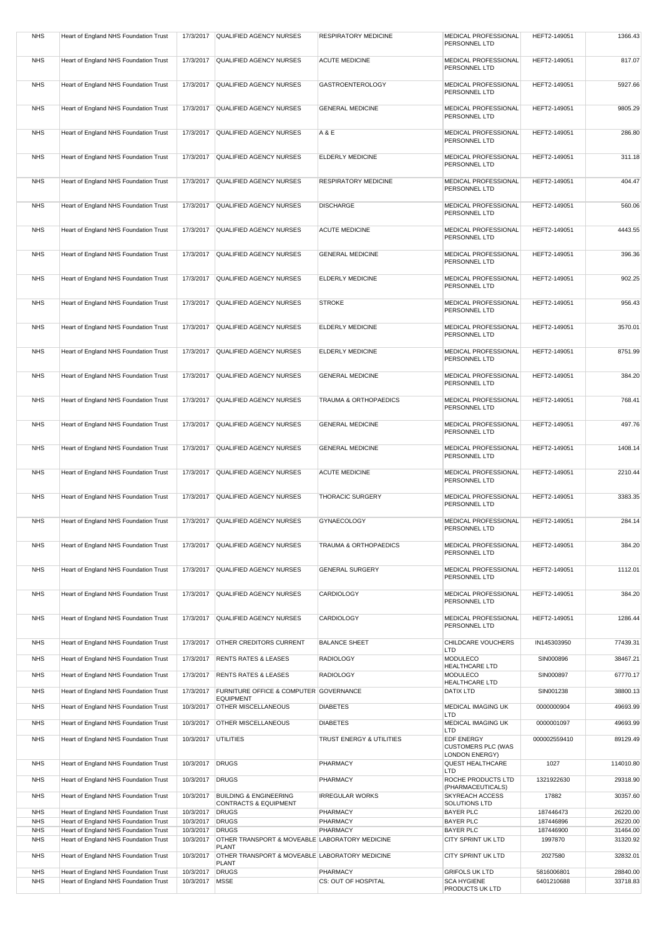| <b>NHS</b>               | Heart of England NHS Foundation Trust                                          | 17/3/2017              | QUALIFIED AGENCY NURSES                                                   | <b>RESPIRATORY MEDICINE</b>      | MEDICAL PROFESSIONAL<br>PERSONNEL LTD                                   | HEFT2-149051           | 1366.43              |
|--------------------------|--------------------------------------------------------------------------------|------------------------|---------------------------------------------------------------------------|----------------------------------|-------------------------------------------------------------------------|------------------------|----------------------|
| <b>NHS</b>               | Heart of England NHS Foundation Trust                                          | 17/3/2017              | QUALIFIED AGENCY NURSES                                                   | <b>ACUTE MEDICINE</b>            | MEDICAL PROFESSIONAL<br>PERSONNEL LTD                                   | HEFT2-149051           | 817.07               |
| <b>NHS</b>               | Heart of England NHS Foundation Trust                                          | 17/3/2017              | QUALIFIED AGENCY NURSES                                                   | <b>GASTROENTEROLOGY</b>          | MEDICAL PROFESSIONAL<br>PERSONNEL LTD                                   | HEFT2-149051           | 5927.66              |
| <b>NHS</b>               | Heart of England NHS Foundation Trust                                          | 17/3/2017              | QUALIFIED AGENCY NURSES                                                   | <b>GENERAL MEDICINE</b>          | MEDICAL PROFESSIONAL<br>PERSONNEL LTD                                   | HEFT2-149051           | 9805.29              |
| <b>NHS</b>               | Heart of England NHS Foundation Trust                                          | 17/3/2017              | QUALIFIED AGENCY NURSES                                                   | A & E                            | MEDICAL PROFESSIONAL<br>PERSONNEL LTD                                   | HEFT2-149051           | 286.80               |
| <b>NHS</b>               | Heart of England NHS Foundation Trust                                          | 17/3/2017              | QUALIFIED AGENCY NURSES                                                   | ELDERLY MEDICINE                 | MEDICAL PROFESSIONAL<br>PERSONNEL LTD                                   | HEFT2-149051           | 311.18               |
| <b>NHS</b>               | Heart of England NHS Foundation Trust                                          | 17/3/2017              | QUALIFIED AGENCY NURSES                                                   | RESPIRATORY MEDICINE             | MEDICAL PROFESSIONAL<br>PERSONNEL LTD                                   | HEFT2-149051           | 404.47               |
| <b>NHS</b>               | Heart of England NHS Foundation Trust                                          | 17/3/2017              | QUALIFIED AGENCY NURSES                                                   | <b>DISCHARGE</b>                 | MEDICAL PROFESSIONAL<br>PERSONNEL LTD                                   | HEFT2-149051           | 560.06               |
| <b>NHS</b>               | Heart of England NHS Foundation Trust                                          | 17/3/2017              | QUALIFIED AGENCY NURSES                                                   | <b>ACUTE MEDICINE</b>            | MEDICAL PROFESSIONAL<br>PERSONNEL LTD                                   | HEFT2-149051           | 4443.55              |
| <b>NHS</b>               | Heart of England NHS Foundation Trust                                          | 17/3/2017              | QUALIFIED AGENCY NURSES                                                   | <b>GENERAL MEDICINE</b>          | MEDICAL PROFESSIONAL<br>PERSONNEL LTD                                   | HEFT2-149051           | 396.36               |
| <b>NHS</b>               | Heart of England NHS Foundation Trust                                          | 17/3/2017              | QUALIFIED AGENCY NURSES                                                   | <b>ELDERLY MEDICINE</b>          | MEDICAL PROFESSIONAL<br>PERSONNEL LTD                                   | HEFT2-149051           | 902.25               |
| <b>NHS</b>               | Heart of England NHS Foundation Trust                                          | 17/3/2017              | QUALIFIED AGENCY NURSES                                                   | <b>STROKE</b>                    | MEDICAL PROFESSIONAL<br>PERSONNEL LTD                                   | HEFT2-149051           | 956.43               |
| <b>NHS</b>               | Heart of England NHS Foundation Trust                                          | 17/3/2017              | QUALIFIED AGENCY NURSES                                                   | ELDERLY MEDICINE                 | MEDICAL PROFESSIONAL<br>PERSONNEL LTD                                   | HEFT2-149051           | 3570.01              |
| <b>NHS</b>               | Heart of England NHS Foundation Trust                                          | 17/3/2017              | QUALIFIED AGENCY NURSES                                                   | <b>ELDERLY MEDICINE</b>          | MEDICAL PROFESSIONAL<br>PERSONNEL LTD                                   | HEFT2-149051           | 8751.99              |
| <b>NHS</b>               | Heart of England NHS Foundation Trust                                          | 17/3/2017              | QUALIFIED AGENCY NURSES                                                   | <b>GENERAL MEDICINE</b>          | MEDICAL PROFESSIONAL<br>PERSONNEL LTD                                   | HEFT2-149051           | 384.20               |
| <b>NHS</b>               | Heart of England NHS Foundation Trust                                          | 17/3/2017              | QUALIFIED AGENCY NURSES                                                   | TRAUMA & ORTHOPAEDICS            | MEDICAL PROFESSIONAL<br>PERSONNEL LTD                                   | HEFT2-149051           | 768.41               |
| <b>NHS</b>               | Heart of England NHS Foundation Trust                                          | 17/3/2017              | QUALIFIED AGENCY NURSES                                                   | <b>GENERAL MEDICINE</b>          | MEDICAL PROFESSIONAL<br>PERSONNEL LTD                                   | HEFT2-149051           | 497.76               |
| <b>NHS</b>               | Heart of England NHS Foundation Trust                                          | 17/3/2017              | QUALIFIED AGENCY NURSES                                                   | <b>GENERAL MEDICINE</b>          | MEDICAL PROFESSIONAL<br>PERSONNEL LTD                                   | HEFT2-149051           | 1408.14              |
| <b>NHS</b>               | Heart of England NHS Foundation Trust                                          | 17/3/2017              | QUALIFIED AGENCY NURSES                                                   | <b>ACUTE MEDICINE</b>            | MEDICAL PROFESSIONAL<br>PERSONNEL LTD                                   | HEFT2-149051           | 2210.44              |
| <b>NHS</b>               | Heart of England NHS Foundation Trust                                          | 17/3/2017              | QUALIFIED AGENCY NURSES                                                   | <b>THORACIC SURGERY</b>          | MEDICAL PROFESSIONAL<br>PERSONNEL LTD                                   | HEFT2-149051           | 3383.35              |
| <b>NHS</b>               | Heart of England NHS Foundation Trust                                          |                        | 17/3/2017 QUALIFIED AGENCY NURSES                                         | <b>GYNAECOLOGY</b>               | MEDICAL PROFESSIONAL<br>PERSONNEL LTD                                   | HEFT2-149051           | 284.14               |
| <b>NHS</b>               | Heart of England NHS Foundation Trust                                          | 17/3/2017              | QUALIFIED AGENCY NURSES                                                   | <b>TRAUMA &amp; ORTHOPAEDICS</b> | MEDICAL PROFESSIONAL<br>PERSONNEL LTD                                   | HEFT2-149051           | 384.20               |
| <b>NHS</b>               | Heart of England NHS Foundation Trust                                          | 17/3/2017              | QUALIFIED AGENCY NURSES                                                   | <b>GENERAL SURGERY</b>           | <b>MEDICAL PROFESSIONAL</b><br>PERSONNEL LTD                            | HEFT2-149051           | 1112.01              |
| <b>NHS</b>               | Heart of England NHS Foundation Trust                                          | 17/3/2017              | QUALIFIED AGENCY NURSES                                                   | CARDIOLOGY                       | MEDICAL PROFESSIONAL<br>PERSONNEL LTD                                   | HEFT2-149051           | 384.20               |
| <b>NHS</b>               | Heart of England NHS Foundation Trust                                          | 17/3/2017              | QUALIFIED AGENCY NURSES                                                   | <b>CARDIOLOGY</b>                | MEDICAL PROFESSIONAL<br>PERSONNEL LTD                                   | HEFT2-149051           | 1286.44              |
| <b>NHS</b>               | Heart of England NHS Foundation Trust                                          | 17/3/2017              | <b>OTHER CREDITORS CURRENT</b>                                            | <b>BALANCE SHEET</b>             | CHILDCARE VOUCHERS<br>LTD                                               | IN145303950            | 77439.31             |
| <b>NHS</b>               | Heart of England NHS Foundation Trust                                          | 17/3/2017              | <b>RENTS RATES &amp; LEASES</b>                                           | <b>RADIOLOGY</b>                 | MODULECO<br><b>HEALTHCARE LTD</b>                                       | SIN000896              | 38467.21             |
| <b>NHS</b><br><b>NHS</b> | Heart of England NHS Foundation Trust<br>Heart of England NHS Foundation Trust | 17/3/2017<br>17/3/2017 | <b>RENTS RATES &amp; LEASES</b><br>FURNITURE OFFICE & COMPUTER GOVERNANCE | <b>RADIOLOGY</b>                 | <b>MODULECO</b><br>HEALTHCARE LTD<br>DATIX LTD                          | SIN000897<br>SIN001238 | 67770.17<br>38800.13 |
|                          |                                                                                |                        | <b>EQUIPMENT</b>                                                          |                                  |                                                                         |                        |                      |
| <b>NHS</b>               | Heart of England NHS Foundation Trust                                          | 10/3/2017              | <b>OTHER MISCELLANEOUS</b>                                                | <b>DIABETES</b>                  | MEDICAL IMAGING UK<br>LTD                                               | 0000000904             | 49693.99             |
| <b>NHS</b>               | Heart of England NHS Foundation Trust                                          | 10/3/2017              | <b>OTHER MISCELLANEOUS</b>                                                | <b>DIABETES</b>                  | <b>MEDICAL IMAGING UK</b><br>LTD                                        | 0000001097             | 49693.99             |
| <b>NHS</b>               | Heart of England NHS Foundation Trust                                          | 10/3/2017              | UTILITIES                                                                 | TRUST ENERGY & UTILITIES         | <b>EDF ENERGY</b><br><b>CUSTOMERS PLC (WAS</b><br><b>LONDON ENERGY)</b> | 000002559410           | 89129.49             |
| <b>NHS</b>               | Heart of England NHS Foundation Trust                                          | 10/3/2017              | <b>DRUGS</b>                                                              | PHARMACY                         | QUEST HEALTHCARE<br>LTD                                                 | 1027                   | 114010.80            |
| <b>NHS</b>               | Heart of England NHS Foundation Trust                                          | 10/3/2017              | <b>DRUGS</b>                                                              | PHARMACY                         | ROCHE PRODUCTS LTD<br>(PHARMACEUTICALS)                                 | 1321922630             | 29318.90             |
| <b>NHS</b>               | Heart of England NHS Foundation Trust                                          | 10/3/2017              | <b>BUILDING &amp; ENGINEERING</b><br>CONTRACTS & EQUIPMENT                | <b>IRREGULAR WORKS</b>           | SKYREACH ACCESS<br>SOLUTIONS LTD                                        | 17882                  | 30357.60             |
| <b>NHS</b><br><b>NHS</b> | Heart of England NHS Foundation Trust<br>Heart of England NHS Foundation Trust | 10/3/2017<br>10/3/2017 | <b>DRUGS</b><br><b>DRUGS</b>                                              | PHARMACY<br>PHARMACY             | <b>BAYER PLC</b><br><b>BAYER PLC</b>                                    | 187446473<br>187446896 | 26220.00<br>26220.00 |
| <b>NHS</b>               | Heart of England NHS Foundation Trust                                          | 10/3/2017              | <b>DRUGS</b>                                                              | PHARMACY                         | <b>BAYER PLC</b>                                                        | 187446900              | 31464.00             |
| <b>NHS</b>               | Heart of England NHS Foundation Trust                                          | 10/3/2017              | OTHER TRANSPORT & MOVEABLE LABORATORY MEDICINE<br><b>PLANT</b>            |                                  | CITY SPRINT UK LTD                                                      | 1997870                | 31320.92             |
| <b>NHS</b>               | Heart of England NHS Foundation Trust                                          | 10/3/2017              | OTHER TRANSPORT & MOVEABLE LABORATORY MEDICINE<br><b>PLANT</b>            |                                  | CITY SPRINT UK LTD                                                      | 2027580                | 32832.01             |
| <b>NHS</b>               | Heart of England NHS Foundation Trust                                          | 10/3/2017              | <b>DRUGS</b>                                                              | PHARMACY                         | <b>GRIFOLS UK LTD</b>                                                   | 5816006801             | 28840.00             |
| <b>NHS</b>               | Heart of England NHS Foundation Trust                                          | 10/3/2017              | <b>MSSE</b>                                                               | CS: OUT OF HOSPITAL              | <b>SCA HYGIENE</b><br>PRODUCTS UK LTD                                   | 6401210688             | 33718.83             |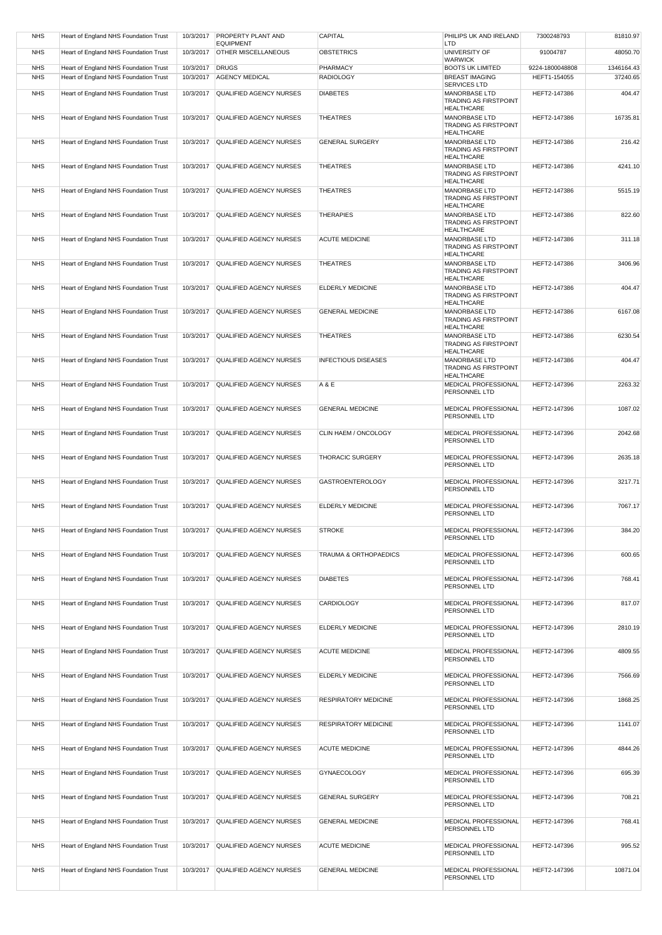| <b>NHS</b> | Heart of England NHS Foundation Trust | 10/3/2017 | <b>PROPERTY PLANT AND</b><br><b>EQUIPMENT</b> | CAPITAL                    | PHILIPS UK AND IRELAND<br>LTD                                             | 7300248793      | 81810.97   |
|------------|---------------------------------------|-----------|-----------------------------------------------|----------------------------|---------------------------------------------------------------------------|-----------------|------------|
| <b>NHS</b> | Heart of England NHS Foundation Trust | 10/3/2017 | <b>OTHER MISCELLANEOUS</b>                    | <b>OBSTETRICS</b>          | UNIVERSITY OF<br><b>WARWICK</b>                                           | 91004787        | 48050.70   |
| <b>NHS</b> | Heart of England NHS Foundation Trust | 10/3/2017 | <b>DRUGS</b>                                  | PHARMACY                   | <b>BOOTS UK LIMITED</b>                                                   | 9224-1800048808 | 1346164.43 |
| <b>NHS</b> | Heart of England NHS Foundation Trust | 10/3/2017 | <b>AGENCY MEDICAL</b>                         | <b>RADIOLOGY</b>           | <b>BREAST IMAGING</b>                                                     | HEFT1-154055    | 37240.65   |
|            |                                       |           |                                               |                            | SERVICES LTD                                                              |                 |            |
| <b>NHS</b> | Heart of England NHS Foundation Trust | 10/3/2017 | <b>QUALIFIED AGENCY NURSES</b>                | <b>DIABETES</b>            | MANORBASE LTD<br><b>TRADING AS FIRSTPOINT</b><br><b>HEALTHCARE</b>        | HEFT2-147386    | 404.47     |
| <b>NHS</b> | Heart of England NHS Foundation Trust | 10/3/2017 | <b>QUALIFIED AGENCY NURSES</b>                | <b>THEATRES</b>            | MANORBASE LTD<br>TRADING AS FIRSTPOINT<br><b>HEALTHCARE</b>               | HEFT2-147386    | 16735.81   |
| <b>NHS</b> | Heart of England NHS Foundation Trust | 10/3/2017 | QUALIFIED AGENCY NURSES                       | <b>GENERAL SURGERY</b>     | MANORBASE LTD<br><b>TRADING AS FIRSTPOINT</b><br><b>HEALTHCARE</b>        | HEFT2-147386    | 216.42     |
| <b>NHS</b> | Heart of England NHS Foundation Trust | 10/3/2017 | QUALIFIED AGENCY NURSES                       | <b>THEATRES</b>            | MANORBASE LTD                                                             | HEFT2-147386    | 4241.10    |
|            |                                       |           |                                               |                            | <b>TRADING AS FIRSTPOINT</b><br><b>HEALTHCARE</b>                         |                 |            |
| <b>NHS</b> | Heart of England NHS Foundation Trust | 10/3/2017 | <b>QUALIFIED AGENCY NURSES</b>                | <b>THEATRES</b>            | MANORBASE LTD<br><b>TRADING AS FIRSTPOINT</b><br><b>HEALTHCARE</b>        | HEFT2-147386    | 5515.19    |
| <b>NHS</b> | Heart of England NHS Foundation Trust | 10/3/2017 | QUALIFIED AGENCY NURSES                       | <b>THERAPIES</b>           | MANORBASE LTD<br><b>TRADING AS FIRSTPOINT</b>                             | HEFT2-147386    | 822.60     |
| <b>NHS</b> | Heart of England NHS Foundation Trust | 10/3/2017 | QUALIFIED AGENCY NURSES                       | <b>ACUTE MEDICINE</b>      | <b>HEALTHCARE</b><br>MANORBASE LTD                                        | HEFT2-147386    | 311.18     |
|            |                                       |           |                                               |                            | <b>TRADING AS FIRSTPOINT</b><br><b>HEALTHCARE</b>                         |                 |            |
| <b>NHS</b> | Heart of England NHS Foundation Trust | 10/3/2017 | QUALIFIED AGENCY NURSES                       | <b>THEATRES</b>            | <b>MANORBASE LTD</b><br><b>TRADING AS FIRSTPOINT</b><br><b>HEALTHCARE</b> | HEFT2-147386    | 3406.96    |
| <b>NHS</b> | Heart of England NHS Foundation Trust | 10/3/2017 | <b>QUALIFIED AGENCY NURSES</b>                | ELDERLY MEDICINE           | MANORBASE LTD<br><b>TRADING AS FIRSTPOINT</b><br><b>HEALTHCARE</b>        | HEFT2-147386    | 404.47     |
| <b>NHS</b> | Heart of England NHS Foundation Trust | 10/3/2017 | QUALIFIED AGENCY NURSES                       | <b>GENERAL MEDICINE</b>    | MANORBASE LTD<br><b>TRADING AS FIRSTPOINT</b><br><b>HEALTHCARE</b>        | HEFT2-147386    | 6167.08    |
| <b>NHS</b> | Heart of England NHS Foundation Trust | 10/3/2017 | QUALIFIED AGENCY NURSES                       | <b>THEATRES</b>            | MANORBASE LTD<br><b>TRADING AS FIRSTPOINT</b><br><b>HEALTHCARE</b>        | HEFT2-147386    | 6230.54    |
| <b>NHS</b> | Heart of England NHS Foundation Trust | 10/3/2017 | <b>QUALIFIED AGENCY NURSES</b>                | <b>INFECTIOUS DISEASES</b> | MANORBASE LTD<br>TRADING AS FIRSTPOINT<br><b>HEALTHCARE</b>               | HEFT2-147386    | 404.47     |
| <b>NHS</b> | Heart of England NHS Foundation Trust | 10/3/2017 | QUALIFIED AGENCY NURSES                       | A & E                      | MEDICAL PROFESSIONAL<br>PERSONNEL LTD                                     | HEFT2-147396    | 2263.32    |
| <b>NHS</b> | Heart of England NHS Foundation Trust | 10/3/2017 | <b>QUALIFIED AGENCY NURSES</b>                | <b>GENERAL MEDICINE</b>    | <b>MEDICAL PROFESSIONAL</b><br>PERSONNEL LTD                              | HEFT2-147396    | 1087.02    |
| <b>NHS</b> | Heart of England NHS Foundation Trust | 10/3/2017 | QUALIFIED AGENCY NURSES                       | CLIN HAEM / ONCOLOGY       | MEDICAL PROFESSIONAL<br>PERSONNEL LTD                                     | HEFT2-147396    | 2042.68    |
| <b>NHS</b> | Heart of England NHS Foundation Trust | 10/3/2017 | <b>QUALIFIED AGENCY NURSES</b>                | <b>THORACIC SURGERY</b>    | MEDICAL PROFESSIONAL<br>PERSONNEL LTD                                     | HEFT2-147396    | 2635.18    |
| <b>NHS</b> | Heart of England NHS Foundation Trust | 10/3/2017 | QUALIFIED AGENCY NURSES                       | <b>GASTROENTEROLOGY</b>    | MEDICAL PROFESSIONAL<br>PERSONNEL LTD                                     | HEFT2-147396    | 3217.71    |
| <b>NHS</b> | Heart of England NHS Foundation Trust | 10/3/2017 | QUALIFIED AGENCY NURSES                       | ELDERLY MEDICINE           | MEDICAL PROFESSIONAL<br>PERSONNEL LTD                                     | HEFT2-147396    | 7067.17    |
| <b>NHS</b> | Heart of England NHS Foundation Trust |           | 10/3/2017 QUALIFIED AGENCY NURSES             | <b>STROKE</b>              | <b>MEDICAL PROFESSIONAL</b><br>PERSONNEL LTD                              | HEFT2-147396    | 384.20     |
| <b>NHS</b> | Heart of England NHS Foundation Trust | 10/3/2017 | QUALIFIED AGENCY NURSES                       | TRAUMA & ORTHOPAEDICS      | MEDICAL PROFESSIONAL<br>PERSONNEL LTD                                     | HEFT2-147396    | 600.65     |
| <b>NHS</b> | Heart of England NHS Foundation Trust | 10/3/2017 | QUALIFIED AGENCY NURSES                       | <b>DIABETES</b>            | MEDICAL PROFESSIONAL<br>PERSONNEL LTD                                     | HEFT2-147396    | 768.41     |
| <b>NHS</b> | Heart of England NHS Foundation Trust | 10/3/2017 | QUALIFIED AGENCY NURSES                       | CARDIOLOGY                 | MEDICAL PROFESSIONAL<br>PERSONNEL LTD                                     | HEFT2-147396    | 817.07     |
| <b>NHS</b> | Heart of England NHS Foundation Trust | 10/3/2017 | QUALIFIED AGENCY NURSES                       | <b>ELDERLY MEDICINE</b>    | MEDICAL PROFESSIONAL<br>PERSONNEL LTD                                     | HEFT2-147396    | 2810.19    |
| <b>NHS</b> | Heart of England NHS Foundation Trust | 10/3/2017 | QUALIFIED AGENCY NURSES                       | <b>ACUTE MEDICINE</b>      | MEDICAL PROFESSIONAL<br>PERSONNEL LTD                                     | HEFT2-147396    | 4809.55    |
| <b>NHS</b> | Heart of England NHS Foundation Trust | 10/3/2017 | <b>QUALIFIED AGENCY NURSES</b>                | ELDERLY MEDICINE           | MEDICAL PROFESSIONAL<br>PERSONNEL LTD                                     | HEFT2-147396    | 7566.69    |
| <b>NHS</b> | Heart of England NHS Foundation Trust | 10/3/2017 | QUALIFIED AGENCY NURSES                       | RESPIRATORY MEDICINE       | MEDICAL PROFESSIONAL<br>PERSONNEL LTD                                     | HEFT2-147396    | 1868.25    |
| <b>NHS</b> | Heart of England NHS Foundation Trust | 10/3/2017 | QUALIFIED AGENCY NURSES                       | RESPIRATORY MEDICINE       | MEDICAL PROFESSIONAL<br>PERSONNEL LTD                                     | HEFT2-147396    | 1141.07    |
| <b>NHS</b> | Heart of England NHS Foundation Trust | 10/3/2017 | QUALIFIED AGENCY NURSES                       | <b>ACUTE MEDICINE</b>      | MEDICAL PROFESSIONAL<br>PERSONNEL LTD                                     | HEFT2-147396    | 4844.26    |
| <b>NHS</b> | Heart of England NHS Foundation Trust | 10/3/2017 | QUALIFIED AGENCY NURSES                       | <b>GYNAECOLOGY</b>         | MEDICAL PROFESSIONAL<br>PERSONNEL LTD                                     | HEFT2-147396    | 695.39     |
| <b>NHS</b> | Heart of England NHS Foundation Trust | 10/3/2017 | <b>QUALIFIED AGENCY NURSES</b>                | <b>GENERAL SURGERY</b>     | <b>MEDICAL PROFESSIONAL</b><br>PERSONNEL LTD                              | HEFT2-147396    | 708.21     |
| <b>NHS</b> | Heart of England NHS Foundation Trust | 10/3/2017 | QUALIFIED AGENCY NURSES                       | <b>GENERAL MEDICINE</b>    | MEDICAL PROFESSIONAL<br>PERSONNEL LTD                                     | HEFT2-147396    | 768.41     |
| <b>NHS</b> | Heart of England NHS Foundation Trust | 10/3/2017 | QUALIFIED AGENCY NURSES                       | <b>ACUTE MEDICINE</b>      | MEDICAL PROFESSIONAL<br>PERSONNEL LTD                                     | HEFT2-147396    | 995.52     |
| <b>NHS</b> | Heart of England NHS Foundation Trust | 10/3/2017 | QUALIFIED AGENCY NURSES                       | <b>GENERAL MEDICINE</b>    | MEDICAL PROFESSIONAL<br>PERSONNEL LTD                                     | HEFT2-147396    | 10871.04   |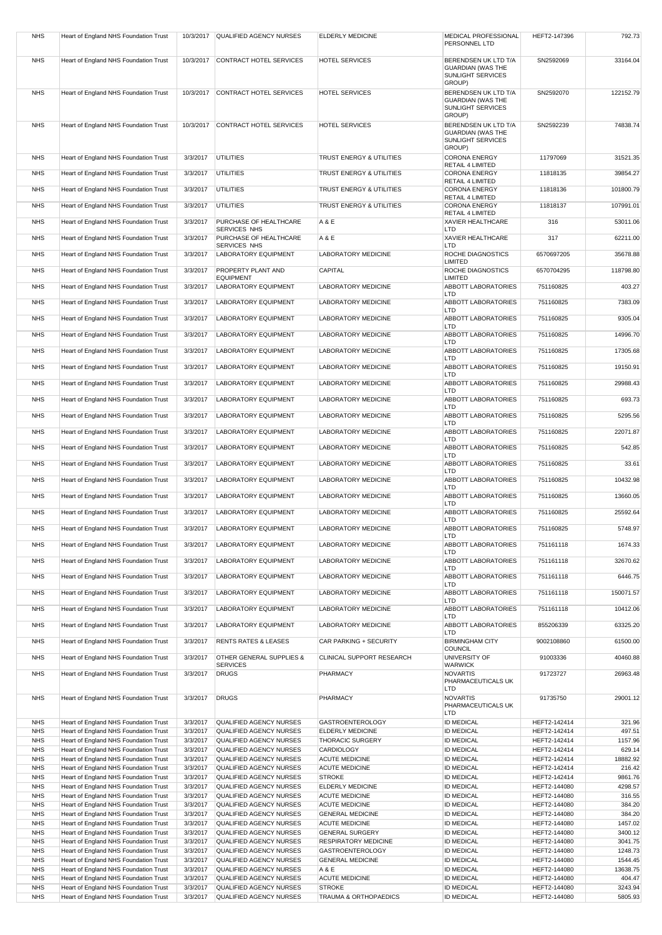| <b>NHS</b>               | Heart of England NHS Foundation Trust                                          | 10/3/2017            | QUALIFIED AGENCY NURSES                            | <b>ELDERLY MEDICINE</b>                               | MEDICAL PROFESSIONAL<br>PERSONNEL LTD                                           | HEFT2-147396                 | 792.73             |
|--------------------------|--------------------------------------------------------------------------------|----------------------|----------------------------------------------------|-------------------------------------------------------|---------------------------------------------------------------------------------|------------------------------|--------------------|
| <b>NHS</b>               | Heart of England NHS Foundation Trust                                          | 10/3/2017            | CONTRACT HOTEL SERVICES                            | <b>HOTEL SERVICES</b>                                 | BERENDSEN UK LTD T/A                                                            | SN2592069                    | 33164.04           |
|                          |                                                                                |                      |                                                    |                                                       | <b>GUARDIAN (WAS THE</b><br><b>SUNLIGHT SERVICES</b><br>GROUP)                  |                              |                    |
| <b>NHS</b>               | Heart of England NHS Foundation Trust                                          | 10/3/2017            | CONTRACT HOTEL SERVICES                            | <b>HOTEL SERVICES</b>                                 | BERENDSEN UK LTD T/A<br><b>GUARDIAN (WAS THE</b><br>SUNLIGHT SERVICES           | SN2592070                    | 122152.79          |
| <b>NHS</b>               | Heart of England NHS Foundation Trust                                          | 10/3/2017            | CONTRACT HOTEL SERVICES                            | <b>HOTEL SERVICES</b>                                 | GROUP)<br>BERENDSEN UK LTD T/A<br><b>GUARDIAN (WAS THE</b><br>SUNLIGHT SERVICES | SN2592239                    | 74838.74           |
| <b>NHS</b>               | Heart of England NHS Foundation Trust                                          | 3/3/2017             | UTILITIES                                          | TRUST ENERGY & UTILITIES                              | GROUP)<br><b>CORONA ENERGY</b>                                                  | 11797069                     | 31521.35           |
|                          |                                                                                |                      |                                                    | TRUST ENERGY & UTILITIES                              | RETAIL 4 LIMITED                                                                | 11818135                     | 39854.27           |
| <b>NHS</b>               | Heart of England NHS Foundation Trust                                          | 3/3/2017             | <b>UTILITIES</b>                                   |                                                       | <b>CORONA ENERGY</b><br>RETAIL 4 LIMITED                                        |                              |                    |
| <b>NHS</b>               | Heart of England NHS Foundation Trust                                          | 3/3/2017             | <b>UTILITIES</b>                                   | TRUST ENERGY & UTILITIES                              | <b>CORONA ENERGY</b><br>RETAIL 4 LIMITED                                        | 11818136                     | 101800.79          |
| <b>NHS</b>               | Heart of England NHS Foundation Trust                                          | 3/3/2017             | <b>UTILITIES</b>                                   | TRUST ENERGY & UTILITIES                              | <b>CORONA ENERGY</b><br>RETAIL 4 LIMITED                                        | 11818137                     | 107991.01          |
| <b>NHS</b>               | Heart of England NHS Foundation Trust                                          | 3/3/2017             | PURCHASE OF HEALTHCARE                             | A & E                                                 | XAVIER HEALTHCARE                                                               | 316                          | 53011.06           |
| <b>NHS</b>               | Heart of England NHS Foundation Trust                                          | 3/3/2017             | SERVICES NHS<br>PURCHASE OF HEALTHCARE             | A & E                                                 | LTD<br>XAVIER HEALTHCARE                                                        | 317                          | 62211.00           |
| <b>NHS</b>               | Heart of England NHS Foundation Trust                                          | 3/3/2017             | SERVICES NHS<br>LABORATORY EQUIPMENT               | LABORATORY MEDICINE                                   | LTD<br>ROCHE DIAGNOSTICS                                                        | 6570697205                   | 35678.88           |
| <b>NHS</b>               | Heart of England NHS Foundation Trust                                          | 3/3/2017             | PROPERTY PLANT AND                                 | CAPITAL                                               | LIMITED<br>ROCHE DIAGNOSTICS                                                    | 6570704295                   | 118798.80          |
|                          |                                                                                |                      | <b>EQUIPMENT</b>                                   |                                                       | LIMITED                                                                         |                              |                    |
| <b>NHS</b>               | Heart of England NHS Foundation Trust                                          | 3/3/2017             | <b>LABORATORY EQUIPMENT</b>                        | LABORATORY MEDICINE                                   | ABBOTT LABORATORIES<br>LTD                                                      | 751160825                    | 403.27             |
| <b>NHS</b>               | Heart of England NHS Foundation Trust                                          | 3/3/2017             | <b>LABORATORY EQUIPMENT</b>                        | LABORATORY MEDICINE                                   | ABBOTT LABORATORIES<br>LTD                                                      | 751160825                    | 7383.09            |
| <b>NHS</b>               | Heart of England NHS Foundation Trust                                          | 3/3/2017             | <b>LABORATORY EQUIPMENT</b>                        | <b>LABORATORY MEDICINE</b>                            | <b>ABBOTT LABORATORIES</b>                                                      | 751160825                    | 9305.04            |
| <b>NHS</b>               | Heart of England NHS Foundation Trust                                          | 3/3/2017             | <b>LABORATORY EQUIPMENT</b>                        | LABORATORY MEDICINE                                   | LTD<br><b>ABBOTT LABORATORIES</b>                                               | 751160825                    | 14996.70           |
| <b>NHS</b>               | Heart of England NHS Foundation Trust                                          | 3/3/2017             | <b>LABORATORY EQUIPMENT</b>                        | LABORATORY MEDICINE                                   | LTD<br>ABBOTT LABORATORIES                                                      | 751160825                    | 17305.68           |
| <b>NHS</b>               | Heart of England NHS Foundation Trust                                          | 3/3/2017             | <b>LABORATORY EQUIPMENT</b>                        | LABORATORY MEDICINE                                   | LTD<br><b>ABBOTT LABORATORIES</b>                                               | 751160825                    | 19150.91           |
|                          |                                                                                |                      |                                                    |                                                       | LTD                                                                             |                              |                    |
| <b>NHS</b>               | Heart of England NHS Foundation Trust                                          | 3/3/2017             | <b>LABORATORY EQUIPMENT</b>                        | LABORATORY MEDICINE                                   | <b>ABBOTT LABORATORIES</b><br>LTD                                               | 751160825                    | 29988.43           |
| <b>NHS</b>               | Heart of England NHS Foundation Trust                                          | 3/3/2017             | <b>LABORATORY EQUIPMENT</b>                        | LABORATORY MEDICINE                                   | ABBOTT LABORATORIES<br>LTD                                                      | 751160825                    | 693.73             |
| <b>NHS</b>               | Heart of England NHS Foundation Trust                                          | 3/3/2017             | <b>LABORATORY EQUIPMENT</b>                        | LABORATORY MEDICINE                                   | <b>ABBOTT LABORATORIES</b><br>LTD                                               | 751160825                    | 5295.56            |
| <b>NHS</b>               | Heart of England NHS Foundation Trust                                          | 3/3/2017             | <b>LABORATORY EQUIPMENT</b>                        | LABORATORY MEDICINE                                   | <b>ABBOTT LABORATORIES</b>                                                      | 751160825                    | 22071.87           |
| <b>NHS</b>               | Heart of England NHS Foundation Trust                                          | 3/3/2017             | <b>LABORATORY EQUIPMENT</b>                        | LABORATORY MEDICINE                                   | LTD<br>ABBOTT LABORATORIES                                                      | 751160825                    | 542.85             |
| <b>NHS</b>               | Heart of England NHS Foundation Trust                                          | 3/3/2017             | <b>LABORATORY EQUIPMENT</b>                        | LABORATORY MEDICINE                                   | LTD<br><b>ABBOTT LABORATORIES</b>                                               | 751160825                    | 33.61              |
| <b>NHS</b>               | Heart of England NHS Foundation Trust                                          | 3/3/2017             | <b>LABORATORY EQUIPMENT</b>                        | LABORATORY MEDICINE                                   | LTD<br><b>ABBOTT LABORATORIES</b>                                               | 751160825                    | 10432.98           |
|                          |                                                                                |                      |                                                    |                                                       | LTD                                                                             |                              |                    |
| <b>NHS</b>               | Heart of England NHS Foundation Trust                                          | 3/3/2017             | <b>LABORATORY EQUIPMENT</b>                        | LABORATORY MEDICINE                                   | ABBOTT LABORATORIES<br>LTD                                                      | 751160825                    | 13660.05           |
| <b>NHS</b>               | Heart of England NHS Foundation Trust                                          | 3/3/2017             | <b>LABORATORY EQUIPMENT</b>                        | LABORATORY MEDICINE                                   | <b>ABBOTT LABORATORIES</b><br>LTD                                               | 751160825                    | 25592.64           |
| <b>NHS</b>               | Heart of England NHS Foundation Trust                                          | 3/3/2017             | <b>LABORATORY EQUIPMENT</b>                        | LABORATORY MEDICINE                                   | ABBOTT LABORATORIES<br><b>LTD</b>                                               | 751160825                    | 5748.97            |
| <b>NHS</b>               | Heart of England NHS Foundation Trust                                          | 3/3/2017             | <b>LABORATORY EQUIPMENT</b>                        | LABORATORY MEDICINE                                   | ABBOTT LABORATORIES<br>LTD                                                      | 751161118                    | 1674.33            |
| <b>NHS</b>               | Heart of England NHS Foundation Trust                                          | 3/3/2017             | LABORATORY EQUIPMENT                               | LABORATORY MEDICINE                                   | ABBOTT LABORATORIES<br>LTD                                                      | 751161118                    | 32670.62           |
| <b>NHS</b>               | Heart of England NHS Foundation Trust                                          | 3/3/2017             | <b>LABORATORY EQUIPMENT</b>                        | LABORATORY MEDICINE                                   | <b>ABBOTT LABORATORIES</b><br>LTD                                               | 751161118                    | 6446.75            |
| <b>NHS</b>               | Heart of England NHS Foundation Trust                                          | 3/3/2017             | <b>LABORATORY EQUIPMENT</b>                        | LABORATORY MEDICINE                                   | ABBOTT LABORATORIES<br>LTD                                                      | 751161118                    | 150071.57          |
| <b>NHS</b>               | Heart of England NHS Foundation Trust                                          | 3/3/2017             | <b>LABORATORY EQUIPMENT</b>                        | <b>LABORATORY MEDICINE</b>                            | <b>ABBOTT LABORATORIES</b>                                                      | 751161118                    | 10412.06           |
| <b>NHS</b>               | Heart of England NHS Foundation Trust                                          | 3/3/2017             | <b>LABORATORY EQUIPMENT</b>                        | LABORATORY MEDICINE                                   | LTD<br><b>ABBOTT LABORATORIES</b>                                               | 855206339                    | 63325.20           |
| <b>NHS</b>               | Heart of England NHS Foundation Trust                                          | 3/3/2017             | <b>RENTS RATES &amp; LEASES</b>                    | CAR PARKING + SECURITY                                | <b>LTD</b><br><b>BIRMINGHAM CITY</b>                                            | 9002108860                   | 61500.00           |
| <b>NHS</b>               | Heart of England NHS Foundation Trust                                          | 3/3/2017             | OTHER GENERAL SUPPLIES &                           | CLINICAL SUPPORT RESEARCH                             | COUNCIL<br>UNIVERSITY OF                                                        | 91003336                     | 40460.88           |
|                          |                                                                                |                      | <b>SERVICES</b>                                    |                                                       | <b>WARWICK</b>                                                                  |                              |                    |
| <b>NHS</b>               | Heart of England NHS Foundation Trust                                          | 3/3/2017             | <b>DRUGS</b>                                       | PHARMACY                                              | <b>NOVARTIS</b><br>PHARMACEUTICALS UK<br><b>LTD</b>                             | 91723727                     | 26963.48           |
| <b>NHS</b>               | Heart of England NHS Foundation Trust                                          | 3/3/2017             | <b>DRUGS</b>                                       | PHARMACY                                              | <b>NOVARTIS</b><br>PHARMACEUTICALS UK<br><b>LTD</b>                             | 91735750                     | 29001.12           |
| <b>NHS</b>               | Heart of England NHS Foundation Trust                                          | 3/3/2017             | QUALIFIED AGENCY NURSES                            | <b>GASTROENTEROLOGY</b>                               | <b>ID MEDICAL</b>                                                               | HEFT2-142414                 | 321.96             |
| <b>NHS</b>               | Heart of England NHS Foundation Trust                                          | 3/3/2017             | QUALIFIED AGENCY NURSES                            | ELDERLY MEDICINE                                      | <b>ID MEDICAL</b>                                                               | HEFT2-142414                 | 497.51             |
| <b>NHS</b><br><b>NHS</b> | Heart of England NHS Foundation Trust<br>Heart of England NHS Foundation Trust | 3/3/2017<br>3/3/2017 | QUALIFIED AGENCY NURSES<br>QUALIFIED AGENCY NURSES | <b>THORACIC SURGERY</b><br><b>CARDIOLOGY</b>          | <b>ID MEDICAL</b><br><b>ID MEDICAL</b>                                          | HEFT2-142414<br>HEFT2-142414 | 1157.96<br>629.14  |
| <b>NHS</b>               | Heart of England NHS Foundation Trust                                          | 3/3/2017             | QUALIFIED AGENCY NURSES                            | <b>ACUTE MEDICINE</b>                                 | <b>ID MEDICAL</b>                                                               | HEFT2-142414                 | 18882.92           |
| <b>NHS</b>               | Heart of England NHS Foundation Trust                                          | 3/3/2017             | QUALIFIED AGENCY NURSES                            | <b>ACUTE MEDICINE</b>                                 | <b>ID MEDICAL</b>                                                               | HEFT2-142414                 | 216.42             |
| <b>NHS</b>               | Heart of England NHS Foundation Trust                                          | 3/3/2017             | QUALIFIED AGENCY NURSES                            | <b>STROKE</b>                                         | <b>ID MEDICAL</b>                                                               | HEFT2-142414                 | 9861.76            |
| <b>NHS</b><br><b>NHS</b> | Heart of England NHS Foundation Trust<br>Heart of England NHS Foundation Trust | 3/3/2017<br>3/3/2017 | QUALIFIED AGENCY NURSES<br>QUALIFIED AGENCY NURSES | ELDERLY MEDICINE<br><b>ACUTE MEDICINE</b>             | <b>ID MEDICAL</b><br><b>ID MEDICAL</b>                                          | HEFT2-144080<br>HEFT2-144080 | 4298.57<br>316.55  |
| <b>NHS</b>               | Heart of England NHS Foundation Trust                                          | 3/3/2017             | QUALIFIED AGENCY NURSES                            | <b>ACUTE MEDICINE</b>                                 | <b>ID MEDICAL</b>                                                               | HEFT2-144080                 | 384.20             |
| <b>NHS</b>               | Heart of England NHS Foundation Trust                                          | 3/3/2017             | QUALIFIED AGENCY NURSES                            | <b>GENERAL MEDICINE</b>                               | <b>ID MEDICAL</b>                                                               | HEFT2-144080                 | 384.20             |
| <b>NHS</b><br><b>NHS</b> | Heart of England NHS Foundation Trust                                          | 3/3/2017<br>3/3/2017 | QUALIFIED AGENCY NURSES                            | <b>ACUTE MEDICINE</b>                                 | <b>ID MEDICAL</b>                                                               | HEFT2-144080                 | 1457.02<br>3400.12 |
| <b>NHS</b>               | Heart of England NHS Foundation Trust<br>Heart of England NHS Foundation Trust | 3/3/2017             | QUALIFIED AGENCY NURSES<br>QUALIFIED AGENCY NURSES | <b>GENERAL SURGERY</b><br><b>RESPIRATORY MEDICINE</b> | <b>ID MEDICAL</b><br><b>ID MEDICAL</b>                                          | HEFT2-144080<br>HEFT2-144080 | 3041.75            |
| <b>NHS</b>               | Heart of England NHS Foundation Trust                                          | 3/3/2017             | QUALIFIED AGENCY NURSES                            | <b>GASTROENTEROLOGY</b>                               | <b>ID MEDICAL</b>                                                               | HEFT2-144080                 | 1248.73            |
| <b>NHS</b>               | Heart of England NHS Foundation Trust                                          | 3/3/2017             | QUALIFIED AGENCY NURSES                            | <b>GENERAL MEDICINE</b>                               | <b>ID MEDICAL</b>                                                               | HEFT2-144080                 | 1544.45            |
| <b>NHS</b>               | Heart of England NHS Foundation Trust                                          | 3/3/2017             | QUALIFIED AGENCY NURSES                            | A & E                                                 | <b>ID MEDICAL</b>                                                               | HEFT2-144080                 | 13638.75           |
| <b>NHS</b>               | Heart of England NHS Foundation Trust                                          | 3/3/2017             | QUALIFIED AGENCY NURSES                            | <b>ACUTE MEDICINE</b>                                 | <b>ID MEDICAL</b>                                                               | HEFT2-144080                 | 404.47             |
| <b>NHS</b><br><b>NHS</b> | Heart of England NHS Foundation Trust<br>Heart of England NHS Foundation Trust | 3/3/2017<br>3/3/2017 | QUALIFIED AGENCY NURSES<br>QUALIFIED AGENCY NURSES | <b>STROKE</b><br>TRAUMA & ORTHOPAEDICS                | <b>ID MEDICAL</b><br><b>ID MEDICAL</b>                                          | HEFT2-144080<br>HEFT2-144080 | 3243.94<br>5805.93 |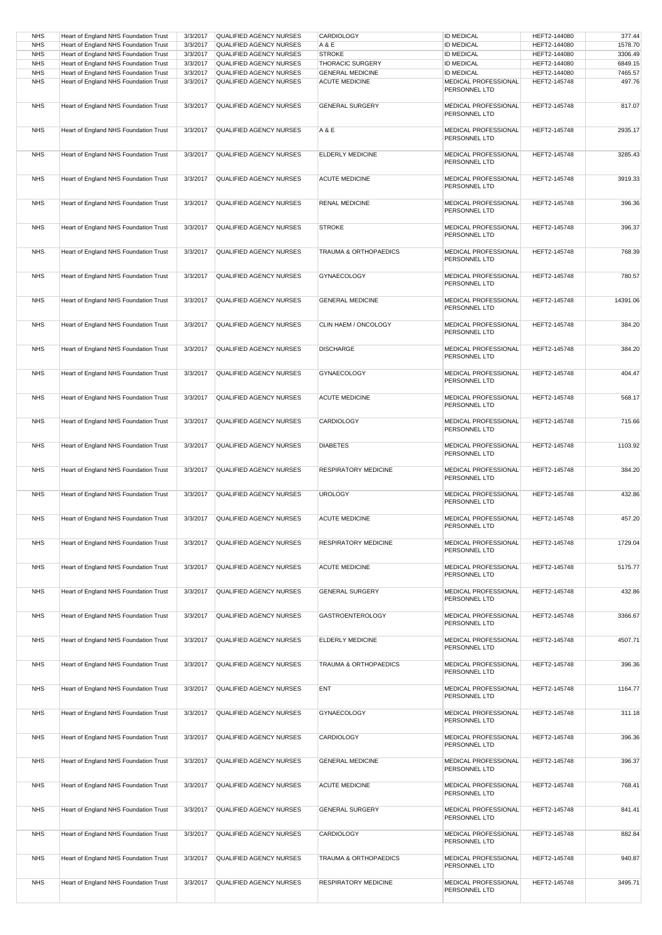| <b>NHS</b> | Heart of England NHS Foundation Trust | 3/3/2017 | QUALIFIED AGENCY NURSES        | CARDIOLOGY                  | <b>ID MEDICAL</b>                            | HEFT2-144080 | 377.44   |
|------------|---------------------------------------|----------|--------------------------------|-----------------------------|----------------------------------------------|--------------|----------|
|            |                                       |          |                                |                             |                                              |              |          |
| <b>NHS</b> | Heart of England NHS Foundation Trust | 3/3/2017 | QUALIFIED AGENCY NURSES        | A & E                       | <b>ID MEDICAL</b>                            | HEFT2-144080 | 1578.70  |
| <b>NHS</b> | Heart of England NHS Foundation Trust | 3/3/2017 | QUALIFIED AGENCY NURSES        | <b>STROKE</b>               | <b>ID MEDICAL</b>                            | HEFT2-144080 | 3306.49  |
|            |                                       |          |                                |                             |                                              |              |          |
| <b>NHS</b> | Heart of England NHS Foundation Trust | 3/3/2017 | QUALIFIED AGENCY NURSES        | <b>THORACIC SURGERY</b>     | <b>ID MEDICAL</b>                            | HEFT2-144080 | 6849.15  |
| <b>NHS</b> | Heart of England NHS Foundation Trust | 3/3/2017 | QUALIFIED AGENCY NURSES        | <b>GENERAL MEDICINE</b>     | <b>ID MEDICAL</b>                            | HEFT2-144080 | 7465.57  |
|            |                                       |          |                                |                             |                                              |              |          |
| <b>NHS</b> | Heart of England NHS Foundation Trust | 3/3/2017 | QUALIFIED AGENCY NURSES        | <b>ACUTE MEDICINE</b>       | MEDICAL PROFESSIONAL<br>PERSONNEL LTD        | HEFT2-145748 | 497.76   |
| <b>NHS</b> | Heart of England NHS Foundation Trust | 3/3/2017 | <b>QUALIFIED AGENCY NURSES</b> | <b>GENERAL SURGERY</b>      | MEDICAL PROFESSIONAL<br>PERSONNEL LTD        | HEFT2-145748 | 817.07   |
| <b>NHS</b> | Heart of England NHS Foundation Trust | 3/3/2017 | QUALIFIED AGENCY NURSES        | A & E                       | MEDICAL PROFESSIONAL<br>PERSONNEL LTD        | HEFT2-145748 | 2935.17  |
| <b>NHS</b> | Heart of England NHS Foundation Trust | 3/3/2017 | QUALIFIED AGENCY NURSES        | <b>ELDERLY MEDICINE</b>     | <b>MEDICAL PROFESSIONAL</b><br>PERSONNEL LTD | HEFT2-145748 | 3285.43  |
| <b>NHS</b> | Heart of England NHS Foundation Trust | 3/3/2017 | QUALIFIED AGENCY NURSES        | <b>ACUTE MEDICINE</b>       | MEDICAL PROFESSIONAL<br>PERSONNEL LTD        | HEFT2-145748 | 3919.33  |
| <b>NHS</b> | Heart of England NHS Foundation Trust | 3/3/2017 | <b>QUALIFIED AGENCY NURSES</b> | <b>RENAL MEDICINE</b>       | MEDICAL PROFESSIONAL<br>PERSONNEL LTD        | HEFT2-145748 | 396.36   |
| <b>NHS</b> | Heart of England NHS Foundation Trust | 3/3/2017 | <b>QUALIFIED AGENCY NURSES</b> | <b>STROKE</b>               | MEDICAL PROFESSIONAL<br>PERSONNEL LTD        | HEFT2-145748 | 396.37   |
| <b>NHS</b> | Heart of England NHS Foundation Trust | 3/3/2017 | QUALIFIED AGENCY NURSES        | TRAUMA & ORTHOPAEDICS       | MEDICAL PROFESSIONAL<br>PERSONNEL LTD        | HEFT2-145748 | 768.39   |
| <b>NHS</b> | Heart of England NHS Foundation Trust | 3/3/2017 | <b>QUALIFIED AGENCY NURSES</b> | <b>GYNAECOLOGY</b>          | MEDICAL PROFESSIONAL<br>PERSONNEL LTD        | HEFT2-145748 | 780.57   |
| <b>NHS</b> | Heart of England NHS Foundation Trust | 3/3/2017 | QUALIFIED AGENCY NURSES        | <b>GENERAL MEDICINE</b>     | MEDICAL PROFESSIONAL<br>PERSONNEL LTD        | HEFT2-145748 | 14391.06 |
| <b>NHS</b> | Heart of England NHS Foundation Trust | 3/3/2017 | <b>QUALIFIED AGENCY NURSES</b> | CLIN HAEM / ONCOLOGY        | MEDICAL PROFESSIONAL<br>PERSONNEL LTD        | HEFT2-145748 | 384.20   |
| <b>NHS</b> | Heart of England NHS Foundation Trust | 3/3/2017 | <b>QUALIFIED AGENCY NURSES</b> | <b>DISCHARGE</b>            | MEDICAL PROFESSIONAL<br>PERSONNEL LTD        | HEFT2-145748 | 384.20   |
| <b>NHS</b> | Heart of England NHS Foundation Trust | 3/3/2017 | <b>QUALIFIED AGENCY NURSES</b> | <b>GYNAECOLOGY</b>          | MEDICAL PROFESSIONAL<br>PERSONNEL LTD        | HEFT2-145748 | 404.47   |
| <b>NHS</b> | Heart of England NHS Foundation Trust | 3/3/2017 | QUALIFIED AGENCY NURSES        | <b>ACUTE MEDICINE</b>       | MEDICAL PROFESSIONAL<br>PERSONNEL LTD        | HEFT2-145748 | 568.17   |
| <b>NHS</b> | Heart of England NHS Foundation Trust | 3/3/2017 | QUALIFIED AGENCY NURSES        | <b>CARDIOLOGY</b>           | MEDICAL PROFESSIONAL<br>PERSONNEL LTD        | HEFT2-145748 | 715.66   |
| <b>NHS</b> | Heart of England NHS Foundation Trust | 3/3/2017 | QUALIFIED AGENCY NURSES        | <b>DIABETES</b>             | MEDICAL PROFESSIONAL<br>PERSONNEL LTD        | HEFT2-145748 | 1103.92  |
| <b>NHS</b> | Heart of England NHS Foundation Trust | 3/3/2017 | QUALIFIED AGENCY NURSES        | <b>RESPIRATORY MEDICINE</b> | MEDICAL PROFESSIONAL<br>PERSONNEL LTD        | HEFT2-145748 | 384.20   |
| <b>NHS</b> | Heart of England NHS Foundation Trust | 3/3/2017 | QUALIFIED AGENCY NURSES        | <b>UROLOGY</b>              | MEDICAL PROFESSIONAL<br>PERSONNEL LTD        | HEFT2-145748 | 432.86   |
| <b>NHS</b> | Heart of England NHS Foundation Trust | 3/3/2017 | QUALIFIED AGENCY NURSES        | <b>ACUTE MEDICINE</b>       | MEDICAL PROFESSIONAL<br>PERSONNEL LTD        | HEFT2-145748 | 457.20   |
| <b>NHS</b> | Heart of England NHS Foundation Trust | 3/3/2017 | QUALIFIED AGENCY NURSES        | <b>RESPIRATORY MEDICINE</b> | MEDICAL PROFESSIONAL<br>PERSONNEL LTD        | HEFT2-145748 | 1729.04  |
| <b>NHS</b> | Heart of England NHS Foundation Trust | 3/3/2017 | QUALIFIED AGENCY NURSES        | <b>ACUTE MEDICINE</b>       | MEDICAL PROFESSIONAL<br>PERSONNEL LTD        | HEFT2-145748 | 5175.77  |
| <b>NHS</b> | Heart of England NHS Foundation Trust | 3/3/2017 | QUALIFIED AGENCY NURSES        | <b>GENERAL SURGERY</b>      | MEDICAL PROFESSIONAL<br>PERSONNEL LTD        | HEFT2-145748 | 432.86   |
| <b>NHS</b> | Heart of England NHS Foundation Trust | 3/3/2017 | QUALIFIED AGENCY NURSES        | <b>GASTROENTEROLOGY</b>     | MEDICAL PROFESSIONAL<br>PERSONNEL LTD        | HEFT2-145748 | 3366.67  |
| <b>NHS</b> | Heart of England NHS Foundation Trust | 3/3/2017 | QUALIFIED AGENCY NURSES        | ELDERLY MEDICINE            | MEDICAL PROFESSIONAL<br>PERSONNEL LTD        | HEFT2-145748 | 4507.71  |
| <b>NHS</b> | Heart of England NHS Foundation Trust | 3/3/2017 | QUALIFIED AGENCY NURSES        | TRAUMA & ORTHOPAEDICS       | MEDICAL PROFESSIONAL<br>PERSONNEL LTD        | HEFT2-145748 | 396.36   |
| <b>NHS</b> | Heart of England NHS Foundation Trust | 3/3/2017 | QUALIFIED AGENCY NURSES        | <b>ENT</b>                  | MEDICAL PROFESSIONAL<br>PERSONNEL LTD        | HEFT2-145748 | 1164.77  |
| <b>NHS</b> | Heart of England NHS Foundation Trust | 3/3/2017 | QUALIFIED AGENCY NURSES        | <b>GYNAECOLOGY</b>          | MEDICAL PROFESSIONAL<br>PERSONNEL LTD        | HEFT2-145748 | 311.18   |
| <b>NHS</b> | Heart of England NHS Foundation Trust | 3/3/2017 | QUALIFIED AGENCY NURSES        | CARDIOLOGY                  | MEDICAL PROFESSIONAL<br>PERSONNEL LTD        | HEFT2-145748 | 396.36   |
| <b>NHS</b> | Heart of England NHS Foundation Trust | 3/3/2017 | QUALIFIED AGENCY NURSES        | <b>GENERAL MEDICINE</b>     | MEDICAL PROFESSIONAL<br>PERSONNEL LTD        | HEFT2-145748 | 396.37   |
| <b>NHS</b> | Heart of England NHS Foundation Trust | 3/3/2017 | QUALIFIED AGENCY NURSES        | <b>ACUTE MEDICINE</b>       | MEDICAL PROFESSIONAL<br>PERSONNEL LTD        | HEFT2-145748 | 768.41   |
| <b>NHS</b> | Heart of England NHS Foundation Trust | 3/3/2017 | QUALIFIED AGENCY NURSES        | <b>GENERAL SURGERY</b>      | MEDICAL PROFESSIONAL<br>PERSONNEL LTD        | HEFT2-145748 | 841.41   |
| <b>NHS</b> | Heart of England NHS Foundation Trust | 3/3/2017 | QUALIFIED AGENCY NURSES        | CARDIOLOGY                  | MEDICAL PROFESSIONAL<br>PERSONNEL LTD        | HEFT2-145748 | 882.84   |
| <b>NHS</b> | Heart of England NHS Foundation Trust | 3/3/2017 | QUALIFIED AGENCY NURSES        | TRAUMA & ORTHOPAEDICS       | MEDICAL PROFESSIONAL<br>PERSONNEL LTD        | HEFT2-145748 | 940.87   |
| <b>NHS</b> | Heart of England NHS Foundation Trust | 3/3/2017 | QUALIFIED AGENCY NURSES        | RESPIRATORY MEDICINE        | MEDICAL PROFESSIONAL<br>PERSONNEL LTD        | HEFT2-145748 | 3495.71  |